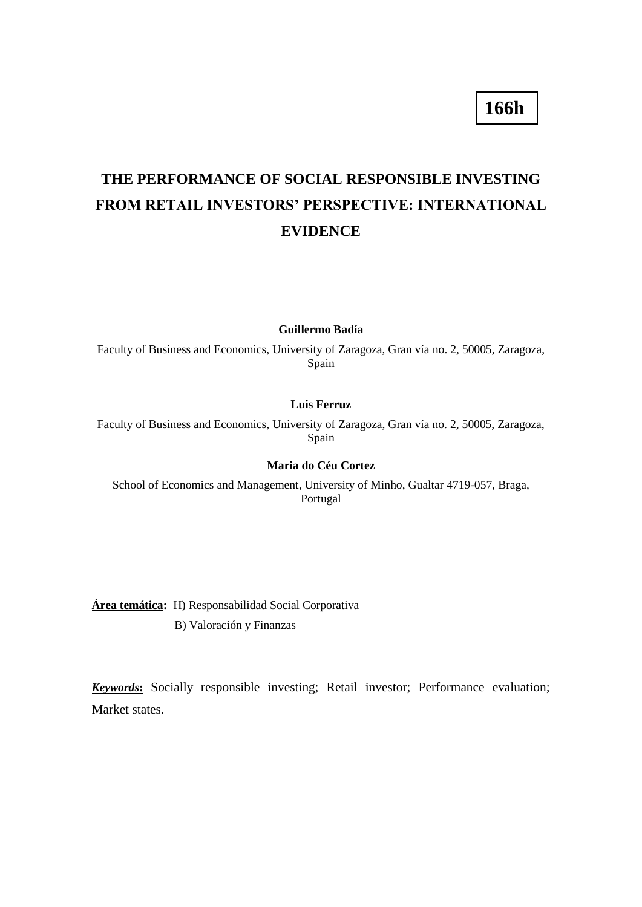# **THE PERFORMANCE OF SOCIAL RESPONSIBLE INVESTING FROM RETAIL INVESTORS' PERSPECTIVE: INTERNATIONAL EVIDENCE**

**Guillermo Badía**

Faculty of Business and Economics, University of Zaragoza, Gran vía no. 2, 50005, Zaragoza, Spain

#### **Luis Ferruz**

Faculty of Business and Economics, University of Zaragoza, Gran vía no. 2, 50005, Zaragoza, Spain

## **Maria do Céu Cortez**

School of Economics and Management, University of Minho, Gualtar 4719-057, Braga, Portugal

**Área temática:** H) Responsabilidad Social Corporativa B) Valoración y Finanzas

*Keywords***:** Socially responsible investing; Retail investor; Performance evaluation; Market states.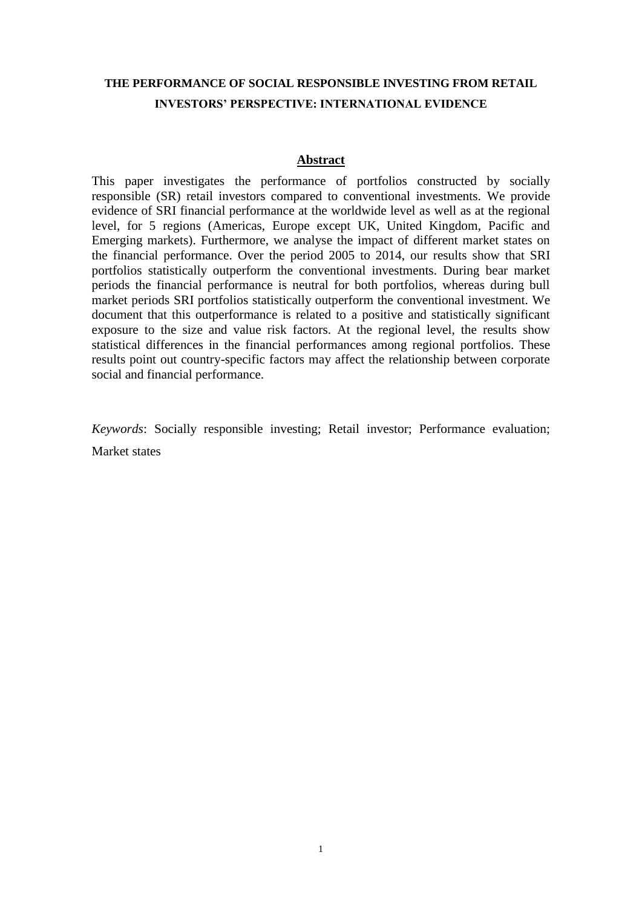## **THE PERFORMANCE OF SOCIAL RESPONSIBLE INVESTING FROM RETAIL INVESTORS' PERSPECTIVE: INTERNATIONAL EVIDENCE**

## **Abstract**

This paper investigates the performance of portfolios constructed by socially responsible (SR) retail investors compared to conventional investments. We provide evidence of SRI financial performance at the worldwide level as well as at the regional level, for 5 regions (Americas, Europe except UK, United Kingdom, Pacific and Emerging markets). Furthermore, we analyse the impact of different market states on the financial performance. Over the period 2005 to 2014, our results show that SRI portfolios statistically outperform the conventional investments. During bear market periods the financial performance is neutral for both portfolios, whereas during bull market periods SRI portfolios statistically outperform the conventional investment. We document that this outperformance is related to a positive and statistically significant exposure to the size and value risk factors. At the regional level, the results show statistical differences in the financial performances among regional portfolios. These results point out country-specific factors may affect the relationship between corporate social and financial performance.

*Keywords*: Socially responsible investing; Retail investor; Performance evaluation; Market states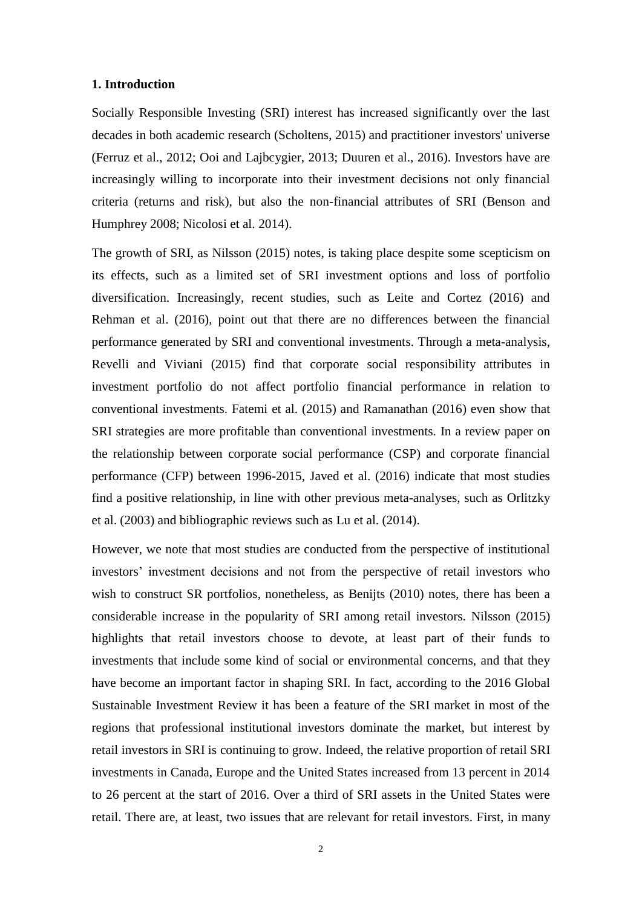## **1. Introduction**

Socially Responsible Investing (SRI) interest has increased significantly over the last decades in both academic research (Scholtens, 2015) and practitioner investors' universe (Ferruz et al., 2012; Ooi and Lajbcygier, 2013; Duuren et al., 2016). Investors have are increasingly willing to incorporate into their investment decisions not only financial criteria (returns and risk), but also the non-financial attributes of SRI (Benson and Humphrey 2008; Nicolosi et al. 2014).

The growth of SRI, as Nilsson (2015) notes, is taking place despite some scepticism on its effects, such as a limited set of SRI investment options and loss of portfolio diversification. Increasingly, recent studies, such as Leite and Cortez (2016) and Rehman et al. (2016), point out that there are no differences between the financial performance generated by SRI and conventional investments. Through a meta-analysis, Revelli and Viviani (2015) find that corporate social responsibility attributes in investment portfolio do not affect portfolio financial performance in relation to conventional investments. Fatemi et al. (2015) and Ramanathan (2016) even show that SRI strategies are more profitable than conventional investments. In a review paper on the relationship between corporate social performance (CSP) and corporate financial performance (CFP) between 1996-2015, Javed et al. (2016) indicate that most studies find a positive relationship, in line with other previous meta-analyses, such as Orlitzky et al. (2003) and bibliographic reviews such as Lu et al. (2014).

However, we note that most studies are conducted from the perspective of institutional investors' investment decisions and not from the perspective of retail investors who wish to construct SR portfolios, nonetheless, as Benijts (2010) notes, there has been a considerable increase in the popularity of SRI among retail investors. Nilsson (2015) highlights that retail investors choose to devote, at least part of their funds to investments that include some kind of social or environmental concerns, and that they have become an important factor in shaping SRI. In fact, according to the 2016 Global Sustainable Investment Review it has been a feature of the SRI market in most of the regions that professional institutional investors dominate the market, but interest by retail investors in SRI is continuing to grow. Indeed, the relative proportion of retail SRI investments in Canada, Europe and the United States increased from 13 percent in 2014 to 26 percent at the start of 2016. Over a third of SRI assets in the United States were retail. There are, at least, two issues that are relevant for retail investors. First, in many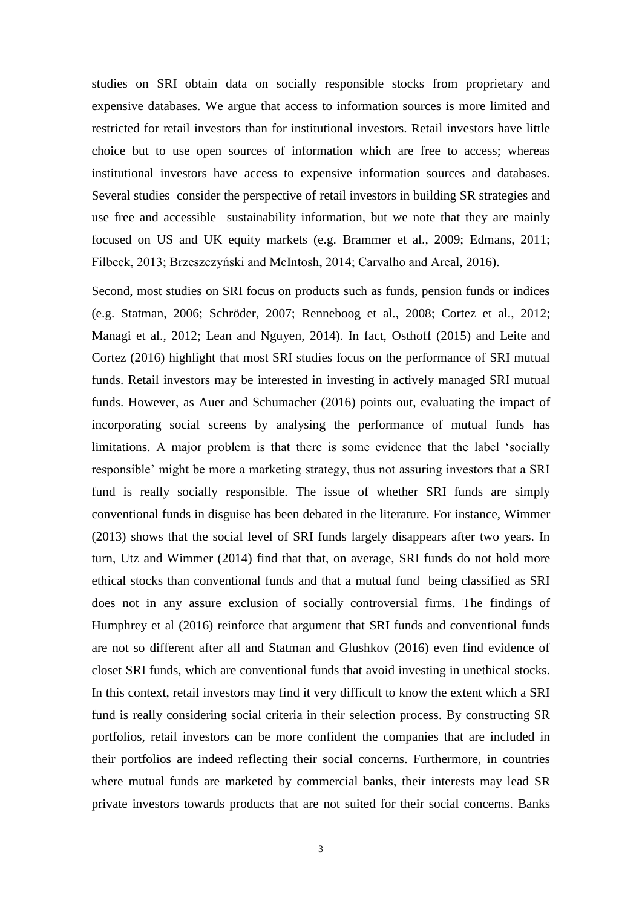studies on SRI obtain data on socially responsible stocks from proprietary and expensive databases. We argue that access to information sources is more limited and restricted for retail investors than for institutional investors. Retail investors have little choice but to use open sources of information which are free to access; whereas institutional investors have access to expensive information sources and databases. Several studies consider the perspective of retail investors in building SR strategies and use free and accessible sustainability information, but we note that they are mainly focused on US and UK equity markets (e.g. Brammer et al., 2009; Edmans, 2011; Filbeck, 2013; Brzeszczyński and McIntosh, 2014; Carvalho and Areal, 2016).

Second, most studies on SRI focus on products such as funds, pension funds or indices (e.g. Statman, 2006; Schröder, 2007; Renneboog et al., 2008; Cortez et al., 2012; Managi et al., 2012; Lean and Nguyen, 2014). In fact, Osthoff (2015) and Leite and Cortez (2016) highlight that most SRI studies focus on the performance of SRI mutual funds. Retail investors may be interested in investing in actively managed SRI mutual funds. However, as Auer and Schumacher (2016) points out, evaluating the impact of incorporating social screens by analysing the performance of mutual funds has limitations. A major problem is that there is some evidence that the label 'socially responsible' might be more a marketing strategy, thus not assuring investors that a SRI fund is really socially responsible. The issue of whether SRI funds are simply conventional funds in disguise has been debated in the literature. For instance, Wimmer (2013) shows that the social level of SRI funds largely disappears after two years. In turn, Utz and Wimmer (2014) find that that, on average, SRI funds do not hold more ethical stocks than conventional funds and that a mutual fund being classified as SRI does not in any assure exclusion of socially controversial firms. The findings of Humphrey et al (2016) reinforce that argument that SRI funds and conventional funds are not so different after all and Statman and Glushkov (2016) even find evidence of closet SRI funds, which are conventional funds that avoid investing in unethical stocks. In this context, retail investors may find it very difficult to know the extent which a SRI fund is really considering social criteria in their selection process. By constructing SR portfolios, retail investors can be more confident the companies that are included in their portfolios are indeed reflecting their social concerns. Furthermore, in countries where mutual funds are marketed by commercial banks, their interests may lead SR private investors towards products that are not suited for their social concerns. Banks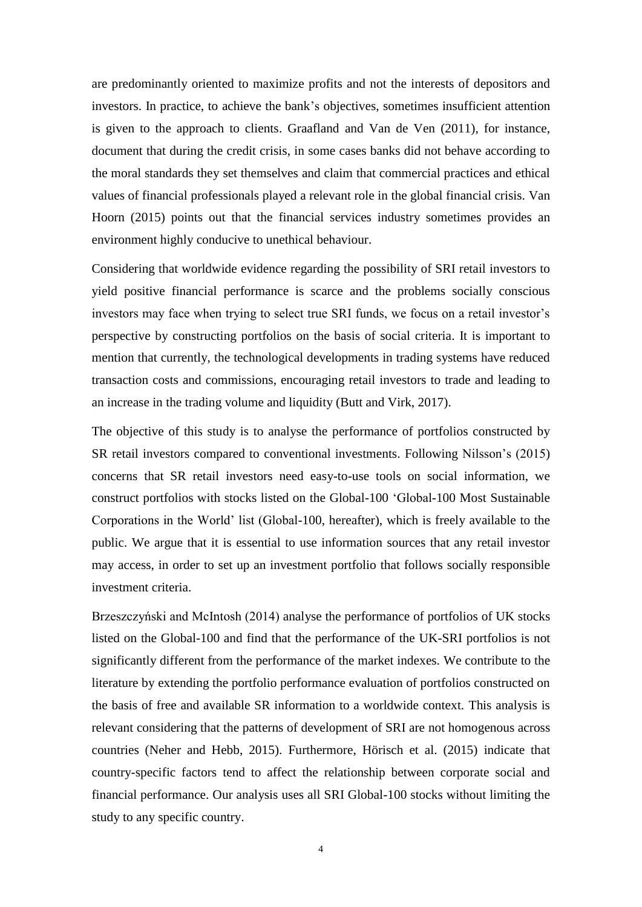are predominantly oriented to maximize profits and not the interests of depositors and investors. In practice, to achieve the bank's objectives, sometimes insufficient attention is given to the approach to clients. Graafland and Van de Ven (2011), for instance, document that during the credit crisis, in some cases banks did not behave according to the moral standards they set themselves and claim that commercial practices and ethical values of financial professionals played a relevant role in the global financial crisis. Van Hoorn (2015) points out that the financial services industry sometimes provides an environment highly conducive to unethical behaviour.

Considering that worldwide evidence regarding the possibility of SRI retail investors to yield positive financial performance is scarce and the problems socially conscious investors may face when trying to select true SRI funds, we focus on a retail investor's perspective by constructing portfolios on the basis of social criteria. It is important to mention that currently, the technological developments in trading systems have reduced transaction costs and commissions, encouraging retail investors to trade and leading to an increase in the trading volume and liquidity (Butt and Virk, 2017).

The objective of this study is to analyse the performance of portfolios constructed by SR retail investors compared to conventional investments. Following Nilsson's (2015) concerns that SR retail investors need easy-to-use tools on social information, we construct portfolios with stocks listed on the Global-100 'Global-100 Most Sustainable Corporations in the World' list (Global-100, hereafter), which is freely available to the public. We argue that it is essential to use information sources that any retail investor may access, in order to set up an investment portfolio that follows socially responsible investment criteria.

Brzeszczyński and McIntosh (2014) analyse the performance of portfolios of UK stocks listed on the Global-100 and find that the performance of the UK-SRI portfolios is not significantly different from the performance of the market indexes. We contribute to the literature by extending the portfolio performance evaluation of portfolios constructed on the basis of free and available SR information to a worldwide context. This analysis is relevant considering that the patterns of development of SRI are not homogenous across countries (Neher and Hebb, 2015). Furthermore, Hörisch et al. (2015) indicate that country-specific factors tend to affect the relationship between corporate social and financial performance. Our analysis uses all SRI Global-100 stocks without limiting the study to any specific country.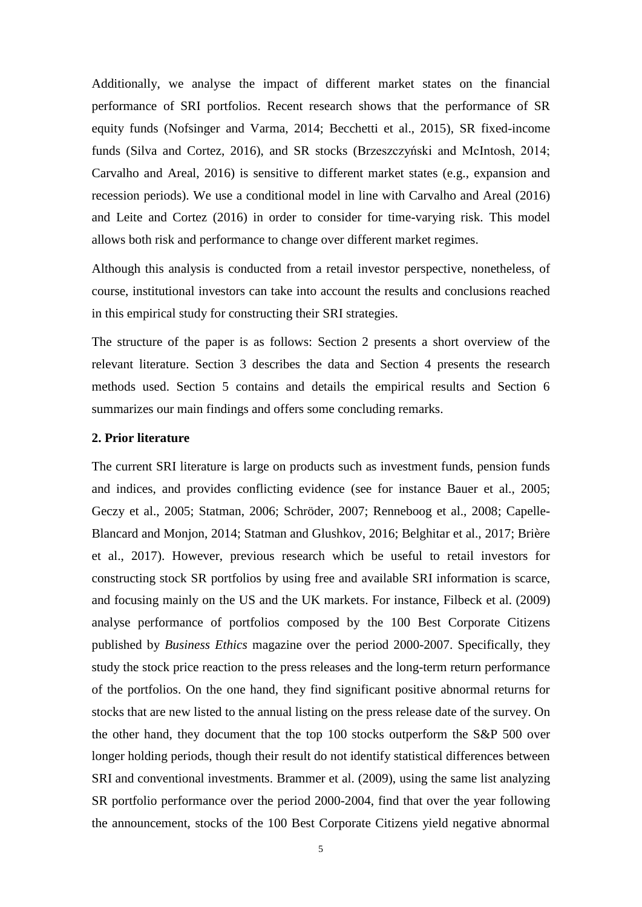Additionally, we analyse the impact of different market states on the financial performance of SRI portfolios. Recent research shows that the performance of SR equity funds (Nofsinger and Varma, 2014; Becchetti et al., 2015), SR fixed-income funds (Silva and Cortez, 2016), and SR stocks (Brzeszczyński and McIntosh, 2014; Carvalho and Areal, 2016) is sensitive to different market states (e.g., expansion and recession periods). We use a conditional model in line with Carvalho and Areal (2016) and Leite and Cortez (2016) in order to consider for time-varying risk. This model allows both risk and performance to change over different market regimes.

Although this analysis is conducted from a retail investor perspective, nonetheless, of course, institutional investors can take into account the results and conclusions reached in this empirical study for constructing their SRI strategies.

The structure of the paper is as follows: Section 2 presents a short overview of the relevant literature. Section 3 describes the data and Section 4 presents the research methods used. Section 5 contains and details the empirical results and Section 6 summarizes our main findings and offers some concluding remarks.

## **2. Prior literature**

The current SRI literature is large on products such as investment funds, pension funds and indices, and provides conflicting evidence (see for instance Bauer et al., 2005; Geczy et al., 2005; Statman, 2006; Schröder, 2007; Renneboog et al., 2008; Capelle-Blancard and Monjon, 2014; Statman and Glushkov, 2016; Belghitar et al., 2017; Brière et al., 2017). However, previous research which be useful to retail investors for constructing stock SR portfolios by using free and available SRI information is scarce, and focusing mainly on the US and the UK markets. For instance, Filbeck et al. (2009) analyse performance of portfolios composed by the 100 Best Corporate Citizens published by *Business Ethics* magazine over the period 2000-2007. Specifically, they study the stock price reaction to the press releases and the long-term return performance of the portfolios. On the one hand, they find significant positive abnormal returns for stocks that are new listed to the annual listing on the press release date of the survey. On the other hand, they document that the top 100 stocks outperform the S&P 500 over longer holding periods, though their result do not identify statistical differences between SRI and conventional investments. Brammer et al. (2009), using the same list analyzing SR portfolio performance over the period 2000-2004, find that over the year following the announcement, stocks of the 100 Best Corporate Citizens yield negative abnormal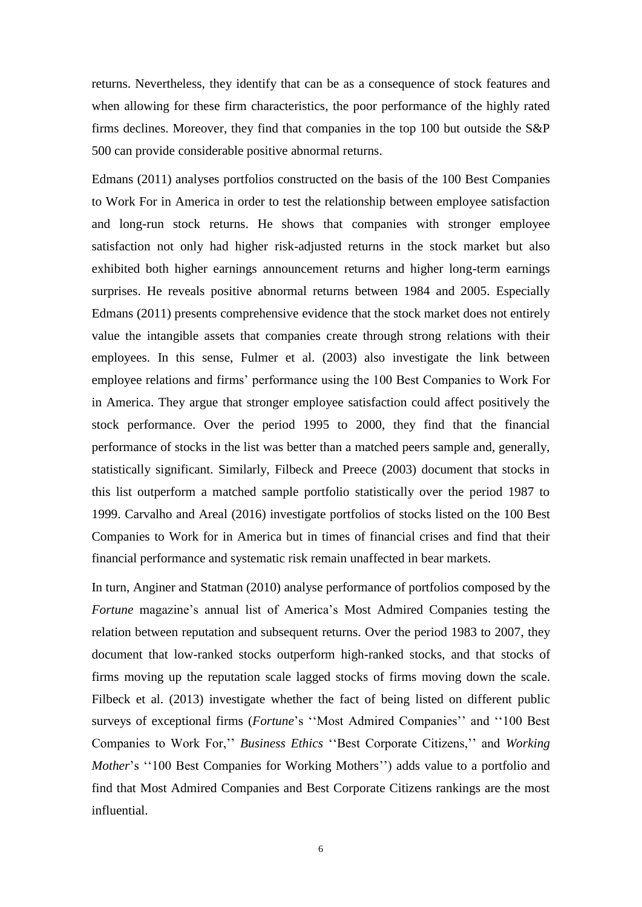returns. Nevertheless, they identify that can be as a consequence of stock features and when allowing for these firm characteristics, the poor performance of the highly rated firms declines. Moreover, they find that companies in the top 100 but outside the S&P 500 can provide considerable positive abnormal returns.

Edmans (2011) analyses portfolios constructed on the basis of the 100 Best Companies to Work For in America in order to test the relationship between employee satisfaction and long-run stock returns. He shows that companies with stronger employee satisfaction not only had higher risk-adjusted returns in the stock market but also exhibited both higher earnings announcement returns and higher long-term earnings surprises. He reveals positive abnormal returns between 1984 and 2005. Especially Edmans (2011) presents comprehensive evidence that the stock market does not entirely value the intangible assets that companies create through strong relations with their employees. In this sense, Fulmer et al. (2003) also investigate the link between employee relations and firms' performance using the 100 Best Companies to Work For in America. They argue that stronger employee satisfaction could affect positively the stock performance. Over the period 1995 to 2000, they find that the financial performance of stocks in the list was better than a matched peers sample and, generally, statistically significant. Similarly, Filbeck and Preece (2003) document that stocks in this list outperform a matched sample portfolio statistically over the period 1987 to 1999. Carvalho and Areal (2016) investigate portfolios of stocks listed on the 100 Best Companies to Work for in America but in times of financial crises and find that their financial performance and systematic risk remain unaffected in bear markets.

In turn, Anginer and Statman (2010) analyse performance of portfolios composed by the *Fortune* magazine's annual list of America's Most Admired Companies testing the relation between reputation and subsequent returns. Over the period 1983 to 2007, they document that low-ranked stocks outperform high-ranked stocks, and that stocks of firms moving up the reputation scale lagged stocks of firms moving down the scale. Filbeck et al. (2013) investigate whether the fact of being listed on different public surveys of exceptional firms (*Fortune*'s ''Most Admired Companies'' and ''100 Best Companies to Work For,'' *Business Ethics* ''Best Corporate Citizens,'' and *Working Mother*'s "100 Best Companies for Working Mothers") adds value to a portfolio and find that Most Admired Companies and Best Corporate Citizens rankings are the most influential.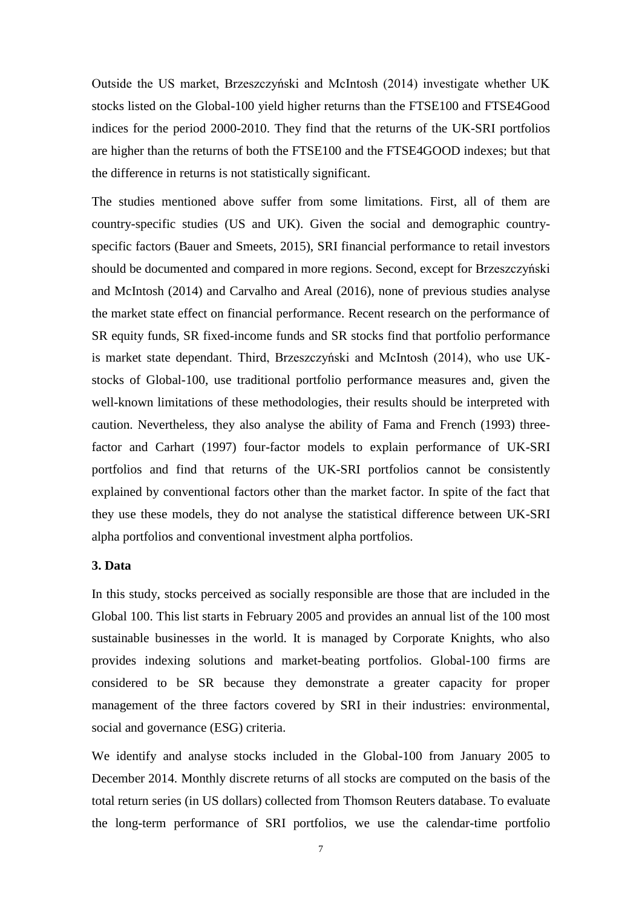Outside the US market, Brzeszczyński and McIntosh (2014) investigate whether UK stocks listed on the Global-100 yield higher returns than the FTSE100 and FTSE4Good indices for the period 2000-2010. They find that the returns of the UK-SRI portfolios are higher than the returns of both the FTSE100 and the FTSE4GOOD indexes; but that the difference in returns is not statistically significant.

The studies mentioned above suffer from some limitations. First, all of them are country-specific studies (US and UK). Given the social and demographic countryspecific factors (Bauer and Smeets, 2015), SRI financial performance to retail investors should be documented and compared in more regions. Second, except for Brzeszczyński and McIntosh (2014) and Carvalho and Areal (2016), none of previous studies analyse the market state effect on financial performance. Recent research on the performance of SR equity funds, SR fixed-income funds and SR stocks find that portfolio performance is market state dependant. Third, Brzeszczyński and McIntosh (2014), who use UKstocks of Global-100, use traditional portfolio performance measures and, given the well-known limitations of these methodologies, their results should be interpreted with caution. Nevertheless, they also analyse the ability of Fama and French (1993) threefactor and Carhart (1997) four-factor models to explain performance of UK-SRI portfolios and find that returns of the UK-SRI portfolios cannot be consistently explained by conventional factors other than the market factor. In spite of the fact that they use these models, they do not analyse the statistical difference between UK-SRI alpha portfolios and conventional investment alpha portfolios.

## **3. Data**

In this study, stocks perceived as socially responsible are those that are included in the Global 100. This list starts in February 2005 and provides an annual list of the 100 most sustainable businesses in the world. It is managed by Corporate Knights, who also provides indexing solutions and market-beating portfolios. Global-100 firms are considered to be SR because they demonstrate a greater capacity for proper management of the three factors covered by SRI in their industries: environmental, social and governance (ESG) criteria.

We identify and analyse stocks included in the Global-100 from January 2005 to December 2014. Monthly discrete returns of all stocks are computed on the basis of the total return series (in US dollars) collected from Thomson Reuters database. To evaluate the long-term performance of SRI portfolios, we use the calendar-time portfolio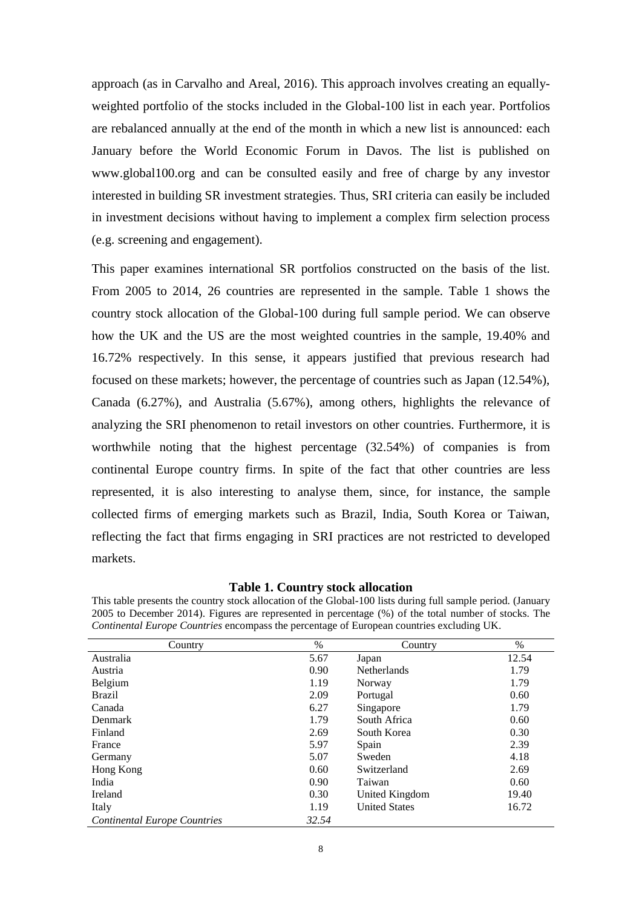approach (as in Carvalho and Areal, 2016). This approach involves creating an equallyweighted portfolio of the stocks included in the Global-100 list in each year. Portfolios are rebalanced annually at the end of the month in which a new list is announced: each January before the World Economic Forum in Davos. The list is published on [www.global100.org](http://www.global100.org/) and can be consulted easily and free of charge by any investor interested in building SR investment strategies. Thus, SRI criteria can easily be included in investment decisions without having to implement a complex firm selection process (e.g. screening and engagement).

This paper examines international SR portfolios constructed on the basis of the list. From 2005 to 2014, 26 countries are represented in the sample. Table 1 shows the country stock allocation of the Global-100 during full sample period. We can observe how the UK and the US are the most weighted countries in the sample, 19.40% and 16.72% respectively. In this sense, it appears justified that previous research had focused on these markets; however, the percentage of countries such as Japan (12.54%), Canada (6.27%), and Australia (5.67%), among others, highlights the relevance of analyzing the SRI phenomenon to retail investors on other countries. Furthermore, it is worthwhile noting that the highest percentage (32.54%) of companies is from continental Europe country firms. In spite of the fact that other countries are less represented, it is also interesting to analyse them, since, for instance, the sample collected firms of emerging markets such as Brazil, India, South Korea or Taiwan, reflecting the fact that firms engaging in SRI practices are not restricted to developed markets.

## **Table 1. Country stock allocation**

| This table presents the country stock allocation of the Global-100 lists during full sample period. (January |
|--------------------------------------------------------------------------------------------------------------|
| 2005 to December 2014). Figures are represented in percentage (%) of the total number of stocks. The         |
| Continental Europe Countries encompass the percentage of European countries excluding UK.                    |

| Country                             | %     | Country              | $\%$  |
|-------------------------------------|-------|----------------------|-------|
| Australia                           | 5.67  | Japan                | 12.54 |
| Austria                             | 0.90  | <b>Netherlands</b>   | 1.79  |
| Belgium                             | 1.19  | Norway               | 1.79  |
| <b>Brazil</b>                       | 2.09  | Portugal             | 0.60  |
| Canada                              | 6.27  | Singapore            | 1.79  |
| Denmark                             | 1.79  | South Africa         | 0.60  |
| Finland                             | 2.69  | South Korea          | 0.30  |
| France                              | 5.97  | Spain                | 2.39  |
| Germany                             | 5.07  | Sweden               | 4.18  |
| Hong Kong                           | 0.60  | Switzerland          | 2.69  |
| India                               | 0.90  | Taiwan               | 0.60  |
| Ireland                             | 0.30  | United Kingdom       | 19.40 |
| Italy                               | 1.19  | <b>United States</b> | 16.72 |
| <b>Continental Europe Countries</b> | 32.54 |                      |       |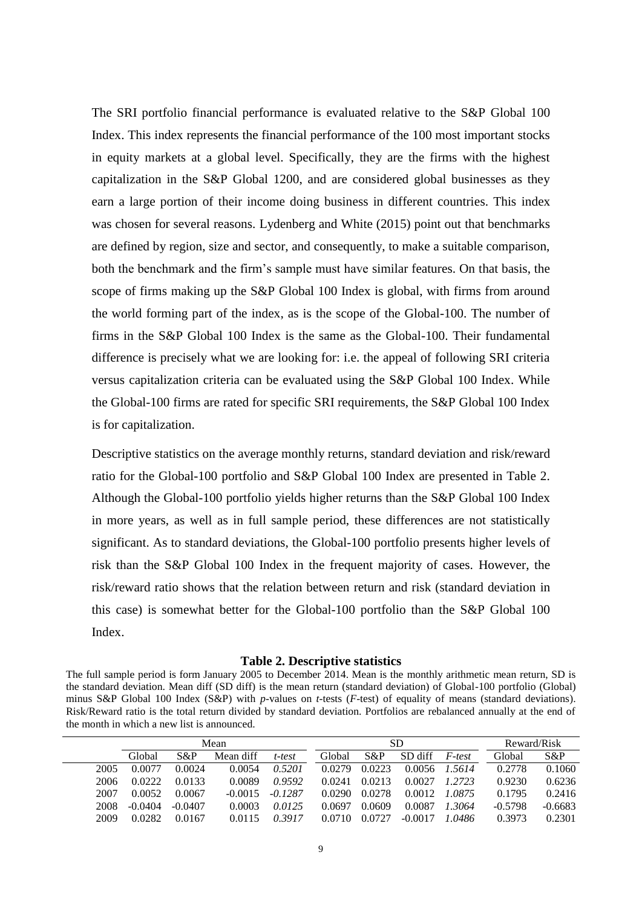The SRI portfolio financial performance is evaluated relative to the S&P Global 100 Index. This index represents the financial performance of the 100 most important stocks in equity markets at a global level. Specifically, they are the firms with the highest capitalization in the S&P Global 1200, and are considered global businesses as they earn a large portion of their income doing business in different countries. This index was chosen for several reasons. Lydenberg and White (2015) point out that benchmarks are defined by region, size and sector, and consequently, to make a suitable comparison, both the benchmark and the firm's sample must have similar features. On that basis, the scope of firms making up the S&P Global 100 Index is global, with firms from around the world forming part of the index, as is the scope of the Global-100. The number of firms in the S&P Global 100 Index is the same as the Global-100. Their fundamental difference is precisely what we are looking for: i.e. the appeal of following SRI criteria versus capitalization criteria can be evaluated using the S&P Global 100 Index. While the Global-100 firms are rated for specific SRI requirements, the S&P Global 100 Index is for capitalization.

Descriptive statistics on the average monthly returns, standard deviation and risk/reward ratio for the Global-100 portfolio and S&P Global 100 Index are presented in Table 2. Although the Global-100 portfolio yields higher returns than the S&P Global 100 Index in more years, as well as in full sample period, these differences are not statistically significant. As to standard deviations, the Global-100 portfolio presents higher levels of risk than the S&P Global 100 Index in the frequent majority of cases. However, the risk/reward ratio shows that the relation between return and risk (standard deviation in this case) is somewhat better for the Global-100 portfolio than the S&P Global 100 Index.

#### **Table 2. Descriptive statistics**

The full sample period is form January 2005 to December 2014. Mean is the monthly arithmetic mean return, SD is the standard deviation. Mean diff (SD diff) is the mean return (standard deviation) of Global-100 portfolio (Global) minus S&P Global 100 Index (S&P) with *p*-values on *t*-tests (*F*-test) of equality of means (standard deviations). Risk/Reward ratio is the total return divided by standard deviation. Portfolios are rebalanced annually at the end of the month in which a new list is announced.

|      | Mean      |           |           |           |        | <b>SD</b> |           | Reward/Risk |           |           |
|------|-----------|-----------|-----------|-----------|--------|-----------|-----------|-------------|-----------|-----------|
|      | Global    | S&P       | Mean diff | t-test    | Global | $S\&P$    | SD diff   | F-test      | Global    | $S\&P$    |
| 2005 | 0.0077    | 0.0024    | 0.0054    | 0.5201    | 0.0279 | 0.0223    | 0.0056    | 1.5614      | 0.2778    | 0.1060    |
| 2006 | 0.0222    | 0.0133    | 0.0089    | 0.9592    | 0.0241 | 0.0213    | 0.0027    | 1.2723      | 0.9230    | 0.6236    |
| 2007 | 0.0052    | 0.0067    | $-0.0015$ | $-0.1287$ | 0.0290 | 0.0278    | 0.0012    | 1.0875      | 0.1795    | 0.2416    |
| 2008 | $-0.0404$ | $-0.0407$ | 0.0003    | 0.0125    | 0.0697 | 0.0609    | 0.0087    | 1.3064      | $-0.5798$ | $-0.6683$ |
| 2009 | 0.0282    | 0.0167    | 0.0115    | 0.3917    | 0.0710 | 0.0727    | $-0.0017$ | 1.0486      | 0.3973    | 0.2301    |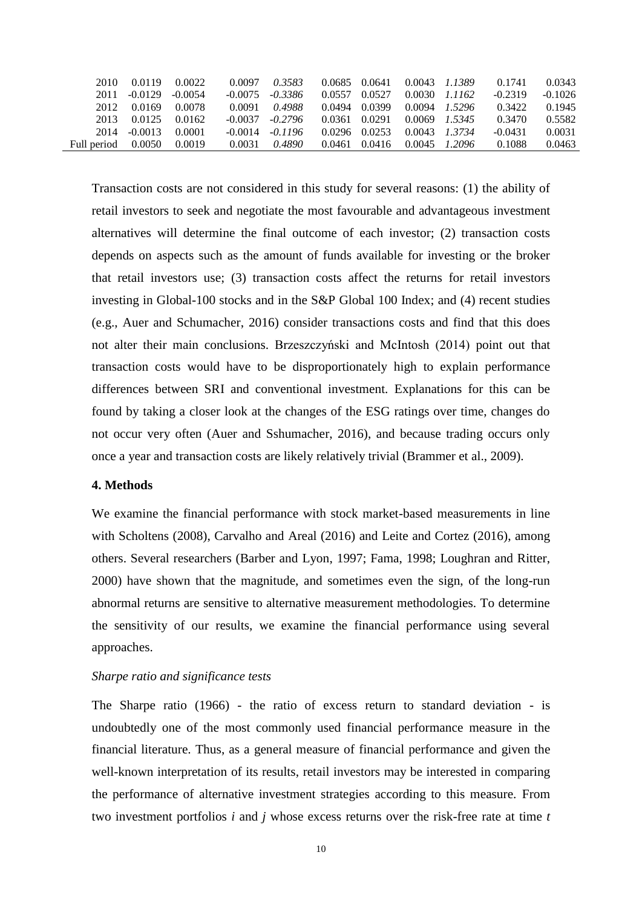| 2010        | 0.0119    | 0.0022    | 0.0097    | 0.3583    | 0.0685 | 0.0641 |        | $0.0043$ 1.1389   | 0.1741    | 0.0343    |
|-------------|-----------|-----------|-----------|-----------|--------|--------|--------|-------------------|-----------|-----------|
| 2011        | $-0.0129$ | $-0.0054$ | $-0.0075$ | $-0.3386$ | 0.0557 | 0.0527 | 0.0030 | 1.1162            | $-0.2319$ | $-0.1026$ |
| 2012        | 0.0169    | 0.0078    | 0.0091    | 0.4988    | 0.0494 | 0.0399 | 0.0094 | 1.5296            | 0.3422    | 0.1945    |
| 2013        | 0.0125    | 0.0162    | $-0.0037$ | $-0.2796$ | 0.0361 | 0.0291 |        | $0.0069$ $1.5345$ | 0.3470    | 0.5582    |
| 2014        | $-0.0013$ | 0.0001    | $-0.0014$ | $-0.1196$ | 0.0296 | 0.0253 |        | $0.0043$ $1.3734$ | $-0.0431$ | 0.0031    |
| Full period | 0.0050    | 0.0019    | 0.0031    | 0.4890    | 0.0461 | 0.0416 | 0.0045 | 1.2096            | 0.1088    | 0.0463    |

Transaction costs are not considered in this study for several reasons: (1) the ability of retail investors to seek and negotiate the most favourable and advantageous investment alternatives will determine the final outcome of each investor; (2) transaction costs depends on aspects such as the amount of funds available for investing or the broker that retail investors use; (3) transaction costs affect the returns for retail investors investing in Global-100 stocks and in the S&P Global 100 Index; and (4) recent studies (e.g., Auer and Schumacher, 2016) consider transactions costs and find that this does not alter their main conclusions. Brzeszczyński and McIntosh (2014) point out that transaction costs would have to be disproportionately high to explain performance differences between SRI and conventional investment. Explanations for this can be found by taking a closer look at the changes of the ESG ratings over time, changes do not occur very often (Auer and Sshumacher, 2016), and because trading occurs only once a year and transaction costs are likely relatively trivial (Brammer et al., 2009).

## **4. Methods**

We examine the financial performance with stock market-based measurements in line with Scholtens (2008), Carvalho and Areal (2016) and Leite and Cortez (2016), among others. Several researchers (Barber and Lyon, 1997; Fama, 1998; Loughran and Ritter, 2000) have shown that the magnitude, and sometimes even the sign, of the long-run abnormal returns are sensitive to alternative measurement methodologies. To determine the sensitivity of our results, we examine the financial performance using several approaches.

## *Sharpe ratio and significance tests*

The Sharpe ratio (1966) - the ratio of excess return to standard deviation - is undoubtedly one of the most commonly used financial performance measure in the financial literature. Thus, as a general measure of financial performance and given the well-known interpretation of its results, retail investors may be interested in comparing the performance of alternative investment strategies according to this measure. From two investment portfolios *i* and *j* whose excess returns over the risk-free rate at time *t*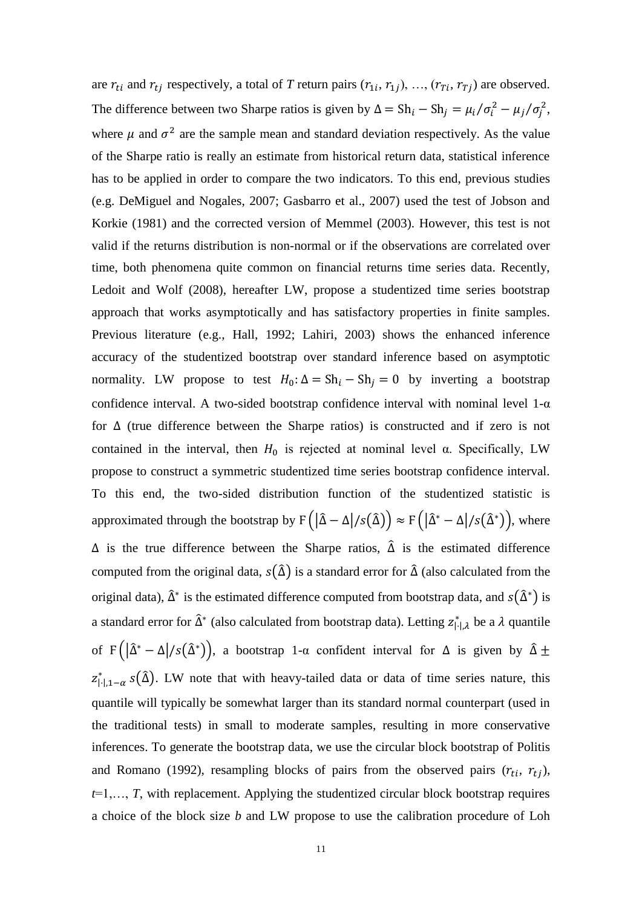are  $r_{ti}$  and  $r_{tj}$  respectively, a total of *T* return pairs  $(r_{1i}, r_{1j}), ..., (r_{Ti}, r_{Tj})$  are observed. The difference between two Sharpe ratios is given by  $\Delta = Sh_i - Sh_j = \mu_i / \sigma_i^2 - \mu_j / \sigma_j^2$ , where  $\mu$  and  $\sigma^2$  are the sample mean and standard deviation respectively. As the value of the Sharpe ratio is really an estimate from historical return data, statistical inference has to be applied in order to compare the two indicators. To this end, previous studies (e.g. DeMiguel and Nogales, 2007; Gasbarro et al., 2007) used the test of Jobson and Korkie (1981) and the corrected version of Memmel (2003). However, this test is not valid if the returns distribution is non-normal or if the observations are correlated over time, both phenomena quite common on financial returns time series data. Recently, Ledoit and Wolf (2008), hereafter LW, propose a studentized time series bootstrap approach that works asymptotically and has satisfactory properties in finite samples. Previous literature (e.g., Hall, 1992; Lahiri, 2003) shows the enhanced inference accuracy of the studentized bootstrap over standard inference based on asymptotic normality. LW propose to test  $H_0: \Delta = \text{Sh}_i - \text{Sh}_j = 0$  by inverting a bootstrap confidence interval. A two-sided bootstrap confidence interval with nominal level  $1-\alpha$ for ∆ (true difference between the Sharpe ratios) is constructed and if zero is not contained in the interval, then  $H_0$  is rejected at nominal level α. Specifically, LW propose to construct a symmetric studentized time series bootstrap confidence interval. To this end, the two-sided distribution function of the studentized statistic is approximated through the bootstrap by  $F(|\hat{\Delta} - \Delta|/s(\hat{\Delta})) \approx F(|\hat{\Delta}^* - \Delta|/s(\hat{\Delta}^*))$ , where  $\Delta$  is the true difference between the Sharpe ratios,  $\hat{\Delta}$  is the estimated difference computed from the original data,  $s(\hat{\Delta})$  is a standard error for  $\hat{\Delta}$  (also calculated from the original data),  $\hat{\Delta}^*$  is the estimated difference computed from bootstrap data, and  $s(\hat{\Delta}^*)$  is a standard error for  $\hat{\Delta}^*$  (also calculated from bootstrap data). Letting  $z_{|\cdot|,\lambda}^*$  be a  $\lambda$  quantile of F  $(|\hat{\Delta}^* - \Delta|/s(\hat{\Delta}^*))$ , a bootstrap 1- $\alpha$  confident interval for  $\Delta$  is given by  $\hat{\Delta} \pm$  $z_{[-],1-\alpha}^* s(\hat{\Delta})$ . LW note that with heavy-tailed data or data of time series nature, this quantile will typically be somewhat larger than its standard normal counterpart (used in the traditional tests) in small to moderate samples, resulting in more conservative inferences. To generate the bootstrap data, we use the circular block bootstrap of Politis and Romano (1992), resampling blocks of pairs from the observed pairs  $(r_{ti}, r_{tj})$ , *t*=1,…, *T*, with replacement. Applying the studentized circular block bootstrap requires a choice of the block size *b* and LW propose to use the calibration procedure of Loh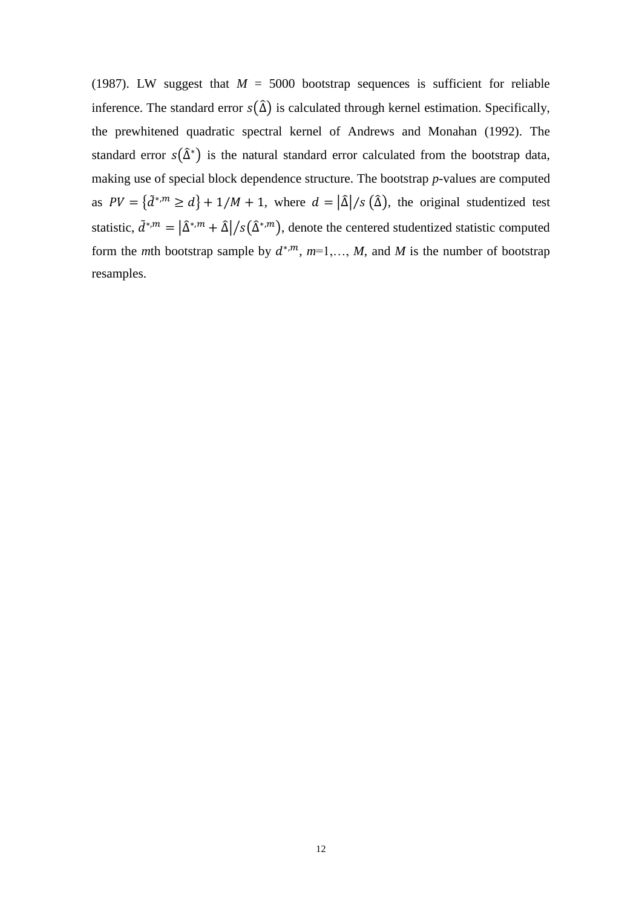(1987). LW suggest that  $M = 5000$  bootstrap sequences is sufficient for reliable inference. The standard error  $s(\hat{\Delta})$  is calculated through kernel estimation. Specifically, the prewhitened quadratic spectral kernel of Andrews and Monahan (1992). The standard error  $s(\hat{\Delta}^*)$  is the natural standard error calculated from the bootstrap data, making use of special block dependence structure. The bootstrap *p*-values are computed as  $PV = {\tilde{a}^{*,m} \ge d} + 1/M + 1$ , where  $d = |\hat{\Delta}|/s (\hat{\Delta})$ , the original studentized test statistic,  $\tilde{d}^{*,m} = |\hat{\Delta}^{*,m} + \hat{\Delta}|/s(\hat{\Delta}^{*,m})$ , denote the centered studentized statistic computed form the *m*th bootstrap sample by  $d^{*,m}$ ,  $m=1,\ldots,M$ , and *M* is the number of bootstrap resamples.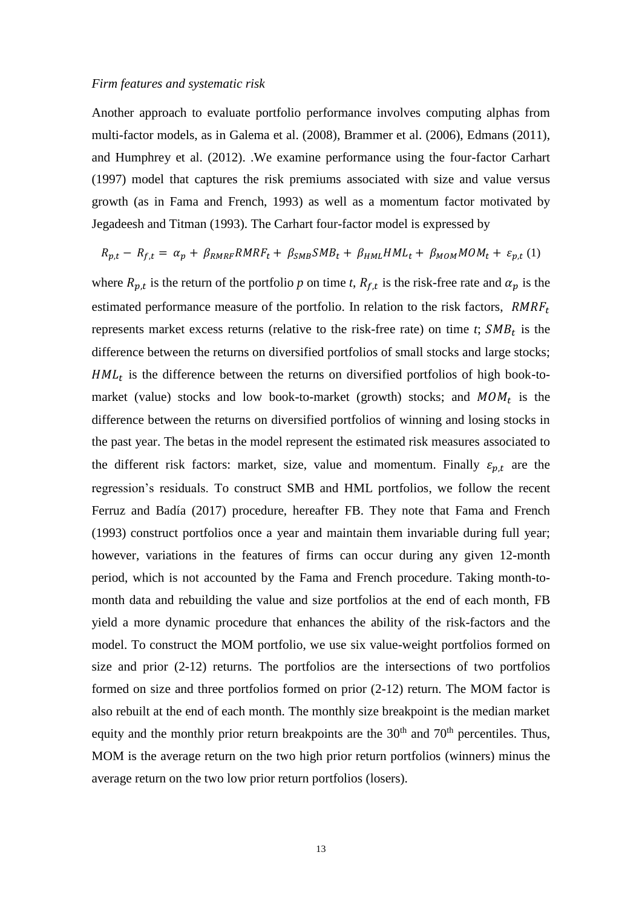#### *Firm features and systematic risk*

Another approach to evaluate portfolio performance involves computing alphas from multi-factor models, as in Galema et al. (2008), Brammer et al. (2006), Edmans (2011), and Humphrey et al. (2012). .We examine performance using the four-factor Carhart (1997) model that captures the risk premiums associated with size and value versus growth (as in Fama and French, 1993) as well as a momentum factor motivated by Jegadeesh and Titman (1993). The Carhart four-factor model is expressed by

$$
R_{p,t} - R_{f,t} = \alpha_p + \beta_{RMRF} RMRF_t + \beta_{SMB} SMB_t + \beta_{HML} HML_t + \beta_{MOM} MOM_t + \varepsilon_{p,t} (1)
$$

where  $R_{p,t}$  is the return of the portfolio *p* on time *t*,  $R_{f,t}$  is the risk-free rate and  $\alpha_p$  is the estimated performance measure of the portfolio. In relation to the risk factors,  $RMRF<sub>t</sub>$ represents market excess returns (relative to the risk-free rate) on time  $t$ ;  $SMB_t$  is the difference between the returns on diversified portfolios of small stocks and large stocks;  $HML_t$  is the difference between the returns on diversified portfolios of high book-tomarket (value) stocks and low book-to-market (growth) stocks; and  $MOM_t$  is the difference between the returns on diversified portfolios of winning and losing stocks in the past year. The betas in the model represent the estimated risk measures associated to the different risk factors: market, size, value and momentum. Finally  $\varepsilon_{p,t}$  are the regression's residuals. To construct SMB and HML portfolios, we follow the recent Ferruz and Badía (2017) procedure, hereafter FB. They note that Fama and French (1993) construct portfolios once a year and maintain them invariable during full year; however, variations in the features of firms can occur during any given 12-month period, which is not accounted by the Fama and French procedure. Taking month-tomonth data and rebuilding the value and size portfolios at the end of each month, FB yield a more dynamic procedure that enhances the ability of the risk-factors and the model. To construct the MOM portfolio, we use six value-weight portfolios formed on size and prior (2-12) returns. The portfolios are the intersections of two portfolios formed on size and three portfolios formed on prior (2-12) return. The MOM factor is also rebuilt at the end of each month. The monthly size breakpoint is the median market equity and the monthly prior return breakpoints are the  $30<sup>th</sup>$  and  $70<sup>th</sup>$  percentiles. Thus, MOM is the average return on the two high prior return portfolios (winners) minus the average return on the two low prior return portfolios (losers).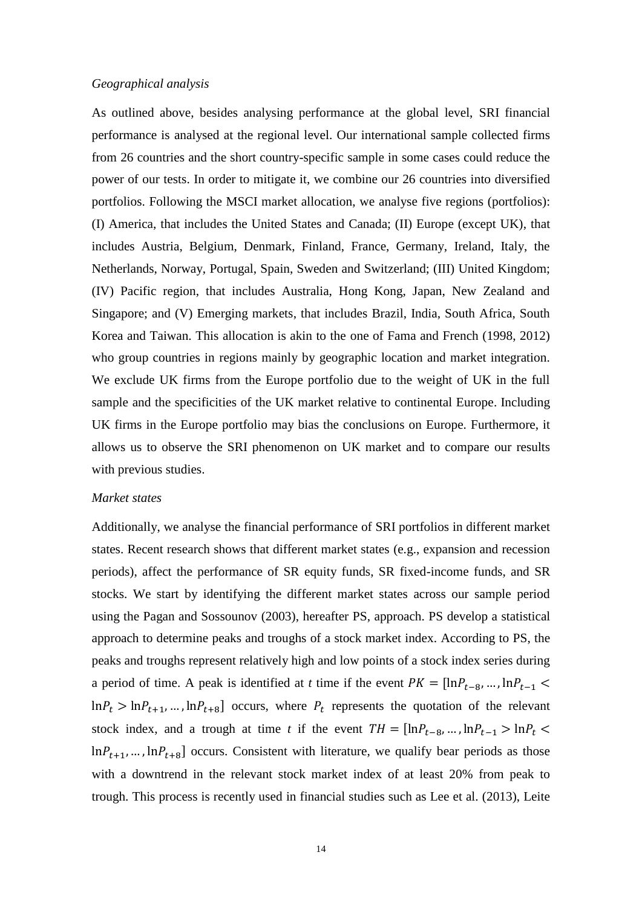## *Geographical analysis*

As outlined above, besides analysing performance at the global level, SRI financial performance is analysed at the regional level. Our international sample collected firms from 26 countries and the short country-specific sample in some cases could reduce the power of our tests. In order to mitigate it, we combine our 26 countries into diversified portfolios. Following the MSCI market allocation, we analyse five regions (portfolios): (I) America, that includes the United States and Canada; (II) Europe (except UK), that includes Austria, Belgium, Denmark, Finland, France, Germany, Ireland, Italy, the Netherlands, Norway, Portugal, Spain, Sweden and Switzerland; (III) United Kingdom; (IV) Pacific region, that includes Australia, Hong Kong, Japan, New Zealand and Singapore; and (V) Emerging markets, that includes Brazil, India, South Africa, South Korea and Taiwan. This allocation is akin to the one of Fama and French (1998, 2012) who group countries in regions mainly by geographic location and market integration. We exclude UK firms from the Europe portfolio due to the weight of UK in the full sample and the specificities of the UK market relative to continental Europe. Including UK firms in the Europe portfolio may bias the conclusions on Europe. Furthermore, it allows us to observe the SRI phenomenon on UK market and to compare our results with previous studies.

#### *Market states*

Additionally, we analyse the financial performance of SRI portfolios in different market states. Recent research shows that different market states (e.g., expansion and recession periods), affect the performance of SR equity funds, SR fixed-income funds, and SR stocks. We start by identifying the different market states across our sample period using the Pagan and Sossounov (2003), hereafter PS, approach. PS develop a statistical approach to determine peaks and troughs of a stock market index. According to PS, the peaks and troughs represent relatively high and low points of a stock index series during a period of time. A peak is identified at *t* time if the event  $PK = [\ln P_{t-8}, ..., \ln P_{t-1}]$  $\ln P_t > \ln P_{t+1}$ , ...,  $\ln P_{t+8}$  occurs, where  $P_t$  represents the quotation of the relevant stock index, and a trough at time *t* if the event  $TH = [\ln P_{t-8}, ..., \ln P_{t-1} > \ln P_t$  $\ln P_{t+1}$ , ...,  $\ln P_{t+8}$ ] occurs. Consistent with literature, we qualify bear periods as those with a downtrend in the relevant stock market index of at least 20% from peak to trough. This process is recently used in financial studies such as Lee et al. (2013), Leite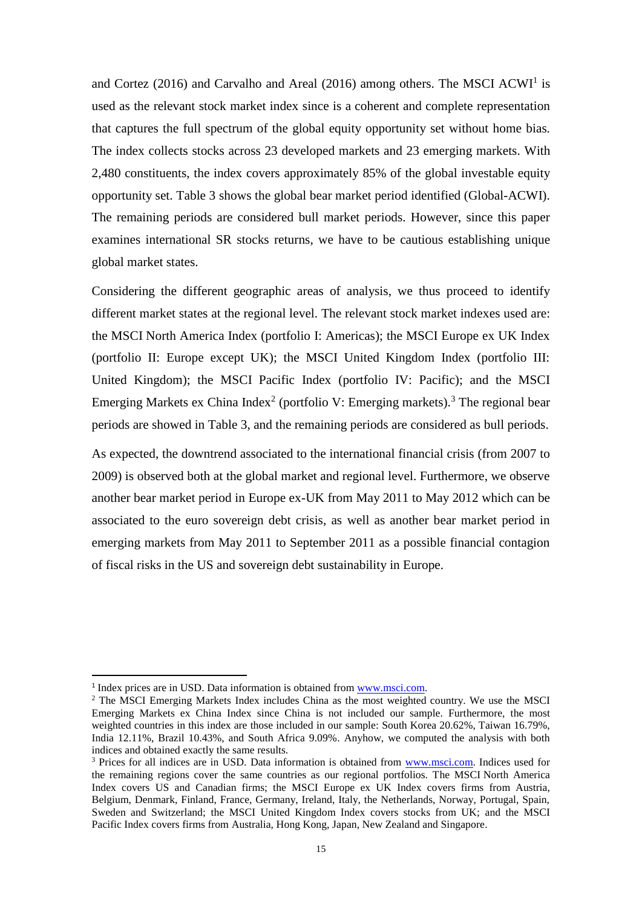and Cortez (2016) and Carvalho and Areal (2016) among others. The MSCI ACWI<sup>1</sup> is used as the relevant stock market index since is a coherent and complete representation that captures the full spectrum of the global equity opportunity set without home bias. The index collects stocks across 23 developed markets and 23 emerging markets. With 2,480 constituents, the index covers approximately 85% of the global investable equity opportunity set. Table 3 shows the global bear market period identified (Global-ACWI). The remaining periods are considered bull market periods. However, since this paper examines international SR stocks returns, we have to be cautious establishing unique global market states.

Considering the different geographic areas of analysis, we thus proceed to identify different market states at the regional level. The relevant stock market indexes used are: the MSCI North America Index (portfolio I: Americas); the MSCI Europe ex UK Index (portfolio II: Europe except UK); the MSCI United Kingdom Index (portfolio III: United Kingdom); the MSCI Pacific Index (portfolio IV: Pacific); and the MSCI Emerging Markets ex China Index<sup>2</sup> (portfolio V: Emerging markets).<sup>3</sup> The regional bear periods are showed in Table 3, and the remaining periods are considered as bull periods.

As expected, the downtrend associated to the international financial crisis (from 2007 to 2009) is observed both at the global market and regional level. Furthermore, we observe another bear market period in Europe ex-UK from May 2011 to May 2012 which can be associated to the euro sovereign debt crisis, as well as another bear market period in emerging markets from May 2011 to September 2011 as a possible financial contagion of fiscal risks in the US and sovereign debt sustainability in Europe.

 $\overline{a}$ 

<sup>&</sup>lt;sup>1</sup> Index prices are in USD. Data information is obtained from [www.msci.com.](http://www.msci.com/)

<sup>&</sup>lt;sup>2</sup> The MSCI Emerging Markets Index includes China as the most weighted country. We use the MSCI Emerging Markets ex China Index since China is not included our sample. Furthermore, the most weighted countries in this index are those included in our sample: South Korea 20.62%, Taiwan 16.79%, India 12.11%, Brazil 10.43%, and South Africa 9.09%. Anyhow, we computed the analysis with both indices and obtained exactly the same results.

<sup>&</sup>lt;sup>3</sup> Prices for all indices are in USD. Data information is obtained from [www.msci.com.](http://www.msci.com/) Indices used for the remaining regions cover the same countries as our regional portfolios. The MSCI North America Index covers US and Canadian firms; the MSCI Europe ex UK Index covers firms from Austria, Belgium, Denmark, Finland, France, Germany, Ireland, Italy, the Netherlands, Norway, Portugal, Spain, Sweden and Switzerland; the MSCI United Kingdom Index covers stocks from UK; and the MSCI Pacific Index covers firms from Australia, Hong Kong, Japan, New Zealand and Singapore.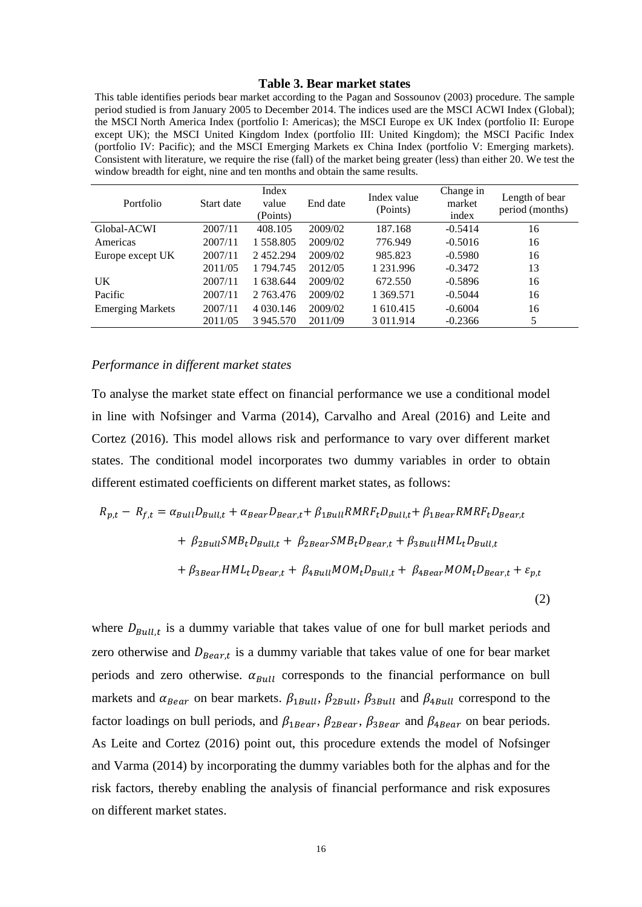#### **Table 3. Bear market states**

This table identifies periods bear market according to the Pagan and Sossounov (2003) procedure. The sample period studied is from January 2005 to December 2014. The indices used are the MSCI ACWI Index (Global); the MSCI North America Index (portfolio I: Americas); the MSCI Europe ex UK Index (portfolio II: Europe except UK); the MSCI United Kingdom Index (portfolio III: United Kingdom); the MSCI Pacific Index (portfolio IV: Pacific); and the MSCI Emerging Markets ex China Index (portfolio V: Emerging markets). Consistent with literature, we require the rise (fall) of the market being greater (less) than either 20. We test the window breadth for eight, nine and ten months and obtain the same results.

| Portfolio               | Start date | Index<br>value<br>(Points) | End date | Index value<br>(Points) | Change in<br>market<br>index | Length of bear<br>period (months) |
|-------------------------|------------|----------------------------|----------|-------------------------|------------------------------|-----------------------------------|
| Global-ACWI             | 2007/11    | 408.105                    | 2009/02  | 187.168                 | $-0.5414$                    | 16                                |
| Americas                | 2007/11    | 1 558.805                  | 2009/02  | 776.949                 | $-0.5016$                    | 16                                |
| Europe except UK        | 2007/11    | 2452.294                   | 2009/02  | 985.823                 | $-0.5980$                    | 16                                |
|                         | 2011/05    | 1 794.745                  | 2012/05  | 1 231.996               | $-0.3472$                    | 13                                |
| UK                      | 2007/11    | 1 638.644                  | 2009/02  | 672.550                 | $-0.5896$                    | 16                                |
| Pacific                 | 2007/11    | 2 763.476                  | 2009/02  | 1 369.571               | $-0.5044$                    | 16                                |
| <b>Emerging Markets</b> | 2007/11    | 4 030.146                  | 2009/02  | 1 610.415               | $-0.6004$                    | 16                                |
|                         | 2011/05    | 3 945.570                  | 2011/09  | 3 011.914               | $-0.2366$                    | 5                                 |

#### *Performance in different market states*

To analyse the market state effect on financial performance we use a conditional model in line with Nofsinger and Varma (2014), Carvalho and Areal (2016) and Leite and Cortez (2016). This model allows risk and performance to vary over different market states. The conditional model incorporates two dummy variables in order to obtain different estimated coefficients on different market states, as follows:

$$
R_{p,t} - R_{f,t} = \alpha_{Bull} D_{Bull,t} + \alpha_{Bean} D_{Bean,t} + \beta_{1Bull} RMRF_tD_{Bull,t} + \beta_{1Bean} RMRF_tD_{Bean,t}
$$

$$
+ \beta_{2Bull} SMB_tD_{Bull,t} + \beta_{2Bean} SMB_tD_{Bean,t} + \beta_{3Bull} HML_tD_{Bull,t}
$$

$$
+ \beta_{3Bean} HML_tD_{Bean,t} + \beta_{4Bull} MOM_tD_{Bull,t} + \beta_{4Bean} MOM_tD_{Bean,t} + \varepsilon_{p,t}
$$
(2)

where  $D_{Bull,t}$  is a dummy variable that takes value of one for bull market periods and zero otherwise and  $D_{\text{Bear},t}$  is a dummy variable that takes value of one for bear market periods and zero otherwise.  $\alpha_{\text{Bull}}$  corresponds to the financial performance on bull markets and  $\alpha_{\text{pear}}$  on bear markets.  $\beta_{1Bull}$ ,  $\beta_{2Bull}$ ,  $\beta_{3Bull}$  and  $\beta_{4Bull}$  correspond to the factor loadings on bull periods, and  $\beta_{1Bean}$ ,  $\beta_{2Bean}$ ,  $\beta_{3Bean}$  and  $\beta_{4Bean}$  on bear periods. As Leite and Cortez (2016) point out, this procedure extends the model of Nofsinger and Varma (2014) by incorporating the dummy variables both for the alphas and for the risk factors, thereby enabling the analysis of financial performance and risk exposures on different market states.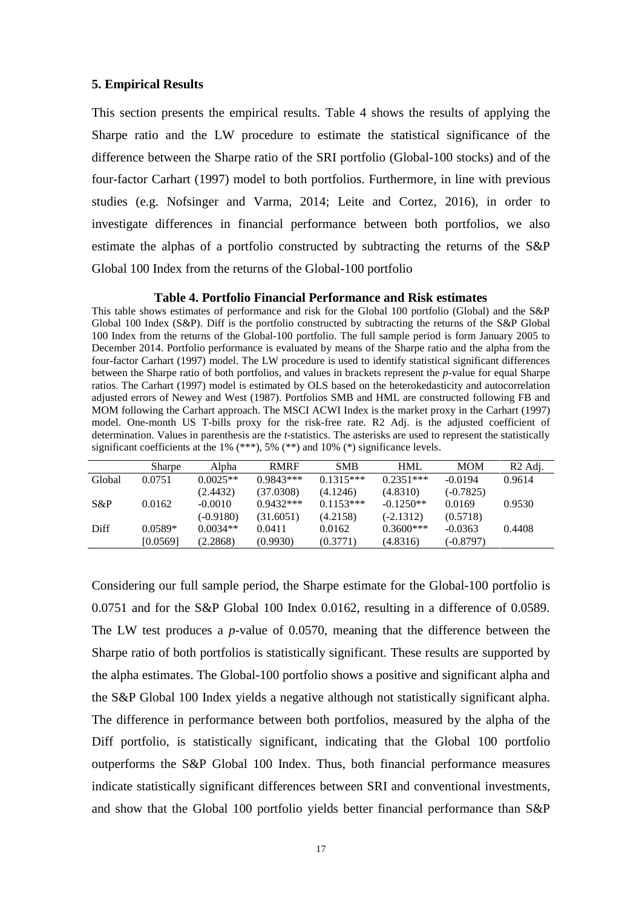## **5. Empirical Results**

This section presents the empirical results. Table 4 shows the results of applying the Sharpe ratio and the LW procedure to estimate the statistical significance of the difference between the Sharpe ratio of the SRI portfolio (Global-100 stocks) and of the four-factor Carhart (1997) model to both portfolios. Furthermore, in line with previous studies (e.g. Nofsinger and Varma, 2014; Leite and Cortez, 2016), in order to investigate differences in financial performance between both portfolios, we also estimate the alphas of a portfolio constructed by subtracting the returns of the S&P Global 100 Index from the returns of the Global-100 portfolio

#### **Table 4. Portfolio Financial Performance and Risk estimates**

This table shows estimates of performance and risk for the Global 100 portfolio (Global) and the S&P Global 100 Index (S&P). Diff is the portfolio constructed by subtracting the returns of the S&P Global 100 Index from the returns of the Global-100 portfolio. The full sample period is form January 2005 to December 2014. Portfolio performance is evaluated by means of the Sharpe ratio and the alpha from the four-factor Carhart (1997) model. The LW procedure is used to identify statistical significant differences between the Sharpe ratio of both portfolios, and values in brackets represent the *p*-value for equal Sharpe ratios. The Carhart (1997) model is estimated by OLS based on the heterokedasticity and autocorrelation adjusted errors of Newey and West (1987). Portfolios SMB and HML are constructed following FB and MOM following the Carhart approach. The MSCI ACWI Index is the market proxy in the Carhart (1997) model. One-month US T-bills proxy for the risk-free rate. R2 Adj. is the adjusted coefficient of determination. Values in parenthesis are the *t*-statistics. The asterisks are used to represent the statistically significant coefficients at the 1% (\*\*\*), 5% (\*\*) and 10% (\*) significance levels.

|        | Sharpe    | Alpha      | <b>RMRF</b> | <b>SMB</b>  | <b>HML</b>  | <b>MOM</b>  | R <sub>2</sub> Adj. |
|--------|-----------|------------|-------------|-------------|-------------|-------------|---------------------|
| Global | 0.0751    | $0.0025**$ | $0.9843***$ | $0.1315***$ | $0.2351***$ | $-0.0194$   | 0.9614              |
|        |           | (2.4432)   | (37.0308)   | (4.1246)    | (4.8310)    | $(-0.7825)$ |                     |
| S&P    | 0.0162    | $-0.0010$  | $0.9432***$ | $0.1153***$ | $-0.1250**$ | 0.0169      | 0.9530              |
|        |           | (-0.9180)  | (31.6051)   | (4.2158)    | $(-2.1312)$ | (0.5718)    |                     |
| Diff   | $0.0589*$ | $0.0034**$ | 0.0411      | 0.0162      | $0.3600***$ | $-0.0363$   | 0.4408              |
|        | [0.0569]  | (2.2868)   | (0.9930)    | (0.3771)    | (4.8316)    | (-0.8797)   |                     |
|        |           |            |             |             |             |             |                     |

Considering our full sample period, the Sharpe estimate for the Global-100 portfolio is 0.0751 and for the S&P Global 100 Index 0.0162, resulting in a difference of 0.0589. The LW test produces a *p*-value of 0.0570, meaning that the difference between the Sharpe ratio of both portfolios is statistically significant. These results are supported by the alpha estimates. The Global-100 portfolio shows a positive and significant alpha and the S&P Global 100 Index yields a negative although not statistically significant alpha. The difference in performance between both portfolios, measured by the alpha of the Diff portfolio, is statistically significant, indicating that the Global 100 portfolio outperforms the S&P Global 100 Index. Thus, both financial performance measures indicate statistically significant differences between SRI and conventional investments, and show that the Global 100 portfolio yields better financial performance than S&P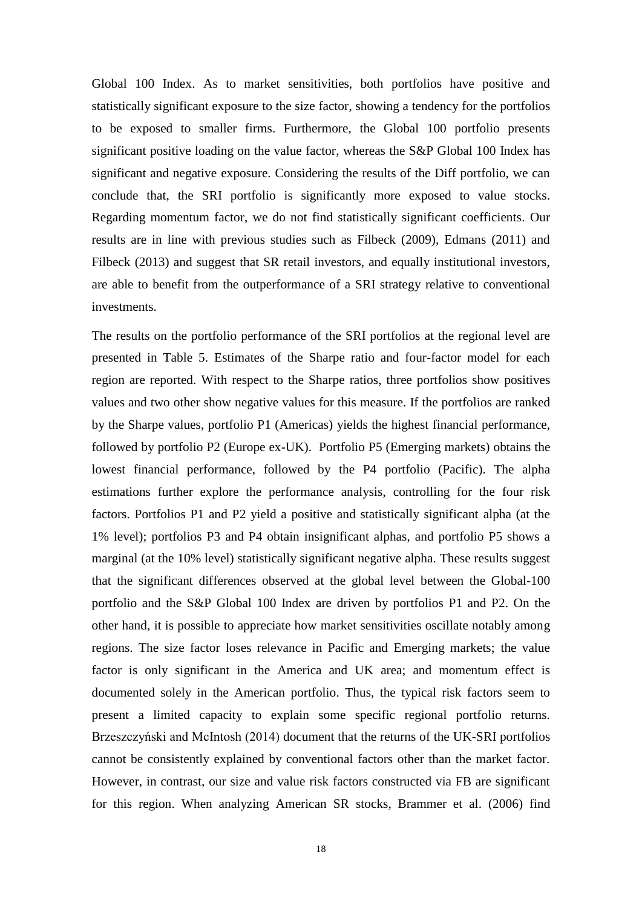Global 100 Index. As to market sensitivities, both portfolios have positive and statistically significant exposure to the size factor, showing a tendency for the portfolios to be exposed to smaller firms. Furthermore, the Global 100 portfolio presents significant positive loading on the value factor, whereas the S&P Global 100 Index has significant and negative exposure. Considering the results of the Diff portfolio, we can conclude that, the SRI portfolio is significantly more exposed to value stocks. Regarding momentum factor, we do not find statistically significant coefficients. Our results are in line with previous studies such as Filbeck (2009), Edmans (2011) and Filbeck (2013) and suggest that SR retail investors, and equally institutional investors, are able to benefit from the outperformance of a SRI strategy relative to conventional investments.

The results on the portfolio performance of the SRI portfolios at the regional level are presented in Table 5. Estimates of the Sharpe ratio and four-factor model for each region are reported. With respect to the Sharpe ratios, three portfolios show positives values and two other show negative values for this measure. If the portfolios are ranked by the Sharpe values, portfolio P1 (Americas) yields the highest financial performance, followed by portfolio P2 (Europe ex-UK). Portfolio P5 (Emerging markets) obtains the lowest financial performance, followed by the P4 portfolio (Pacific). The alpha estimations further explore the performance analysis, controlling for the four risk factors. Portfolios P1 and P2 yield a positive and statistically significant alpha (at the 1% level); portfolios P3 and P4 obtain insignificant alphas, and portfolio P5 shows a marginal (at the 10% level) statistically significant negative alpha. These results suggest that the significant differences observed at the global level between the Global-100 portfolio and the S&P Global 100 Index are driven by portfolios P1 and P2. On the other hand, it is possible to appreciate how market sensitivities oscillate notably among regions. The size factor loses relevance in Pacific and Emerging markets; the value factor is only significant in the America and UK area; and momentum effect is documented solely in the American portfolio. Thus, the typical risk factors seem to present a limited capacity to explain some specific regional portfolio returns. Brzeszczyński and McIntosh (2014) document that the returns of the UK-SRI portfolios cannot be consistently explained by conventional factors other than the market factor. However, in contrast, our size and value risk factors constructed via FB are significant for this region. When analyzing American SR stocks, Brammer et al. (2006) find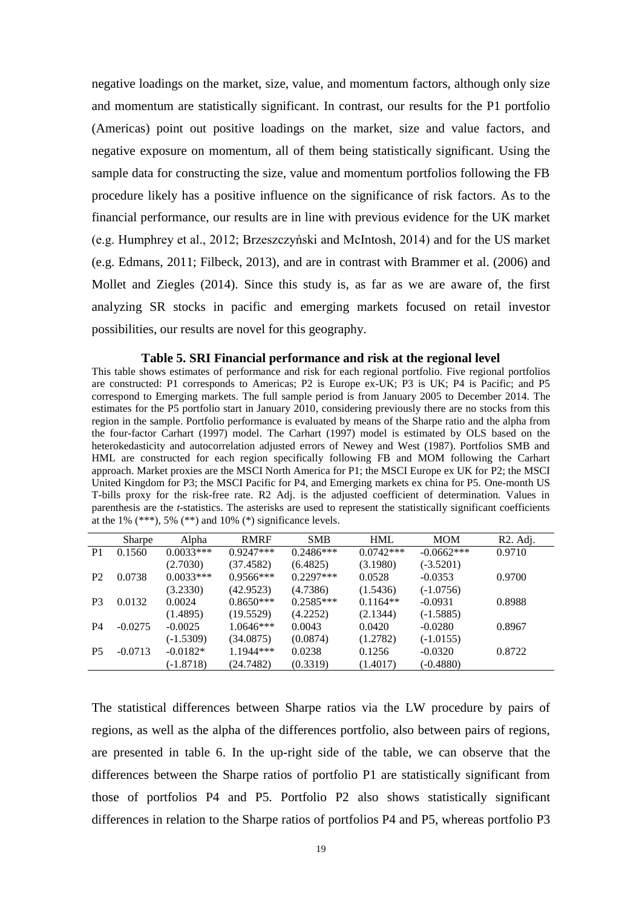negative loadings on the market, size, value, and momentum factors, although only size and momentum are statistically significant. In contrast, our results for the P1 portfolio (Americas) point out positive loadings on the market, size and value factors, and negative exposure on momentum, all of them being statistically significant. Using the sample data for constructing the size, value and momentum portfolios following the FB procedure likely has a positive influence on the significance of risk factors. As to the financial performance, our results are in line with previous evidence for the UK market (e.g. Humphrey et al., 2012; Brzeszczyński and McIntosh, 2014) and for the US market (e.g. Edmans, 2011; Filbeck, 2013), and are in contrast with Brammer et al. (2006) and Mollet and Ziegles (2014). Since this study is, as far as we are aware of, the first analyzing SR stocks in pacific and emerging markets focused on retail investor possibilities, our results are novel for this geography.

**Table 5. SRI Financial performance and risk at the regional level** This table shows estimates of performance and risk for each regional portfolio. Five regional portfolios are constructed: P1 corresponds to Americas; P2 is Europe ex-UK; P3 is UK; P4 is Pacific; and P5 correspond to Emerging markets. The full sample period is from January 2005 to December 2014. The estimates for the P5 portfolio start in January 2010, considering previously there are no stocks from this region in the sample. Portfolio performance is evaluated by means of the Sharpe ratio and the alpha from the four-factor Carhart (1997) model. The Carhart (1997) model is estimated by OLS based on the heterokedasticity and autocorrelation adjusted errors of Newey and West (1987). Portfolios SMB and HML are constructed for each region specifically following FB and MOM following the Carhart approach. Market proxies are the MSCI North America for P1; the MSCI Europe ex UK for P2; the MSCI United Kingdom for P3; the MSCI Pacific for P4, and Emerging markets ex china for P5. One-month US T-bills proxy for the risk-free rate. R2 Adj. is the adjusted coefficient of determination. Values in parenthesis are the *t*-statistics. The asterisks are used to represent the statistically significant coefficients at the 1%  $(***)$ , 5%  $(**)$  and 10%  $(*)$  significance levels.

|                | <b>Sharpe</b> | Alpha       | <b>RMRF</b> | <b>SMB</b>  | <b>HML</b>  | <b>MOM</b>   | R <sub>2</sub> . Adj. |
|----------------|---------------|-------------|-------------|-------------|-------------|--------------|-----------------------|
| P <sub>1</sub> | 0.1560        | $0.0033***$ | $0.9247***$ | $0.2486***$ | $0.0742***$ | $-0.0662***$ | 0.9710                |
|                |               | (2.7030)    | (37.4582)   | (6.4825)    | (3.1980)    | $(-3.5201)$  |                       |
| P <sub>2</sub> | 0.0738        | $0.0033***$ | $0.9566***$ | $0.2297***$ | 0.0528      | $-0.0353$    | 0.9700                |
|                |               | (3.2330)    | (42.9523)   | (4.7386)    | (1.5436)    | $(-1.0756)$  |                       |
| P <sub>3</sub> | 0.0132        | 0.0024      | $0.8650***$ | $0.2585***$ | $0.1164**$  | $-0.0931$    | 0.8988                |
|                |               | (1.4895)    | (19.5529)   | (4.2252)    | (2.1344)    | $(-1.5885)$  |                       |
| P4             | $-0.0275$     | $-0.0025$   | $1.0646***$ | 0.0043      | 0.0420      | $-0.0280$    | 0.8967                |
|                |               | $(-1.5309)$ | (34.0875)   | (0.0874)    | (1.2782)    | $(-1.0155)$  |                       |
| P <sub>5</sub> | $-0.0713$     | $-0.0182*$  | 1.1944 ***  | 0.0238      | 0.1256      | $-0.0320$    | 0.8722                |
|                |               | $(-1.8718)$ | (24.7482)   | (0.3319)    | (1.4017)    | $(-0.4880)$  |                       |
|                |               |             |             |             |             |              |                       |

The statistical differences between Sharpe ratios via the LW procedure by pairs of regions, as well as the alpha of the differences portfolio, also between pairs of regions, are presented in table 6. In the up-right side of the table, we can observe that the differences between the Sharpe ratios of portfolio P1 are statistically significant from those of portfolios P4 and P5. Portfolio P2 also shows statistically significant differences in relation to the Sharpe ratios of portfolios P4 and P5, whereas portfolio P3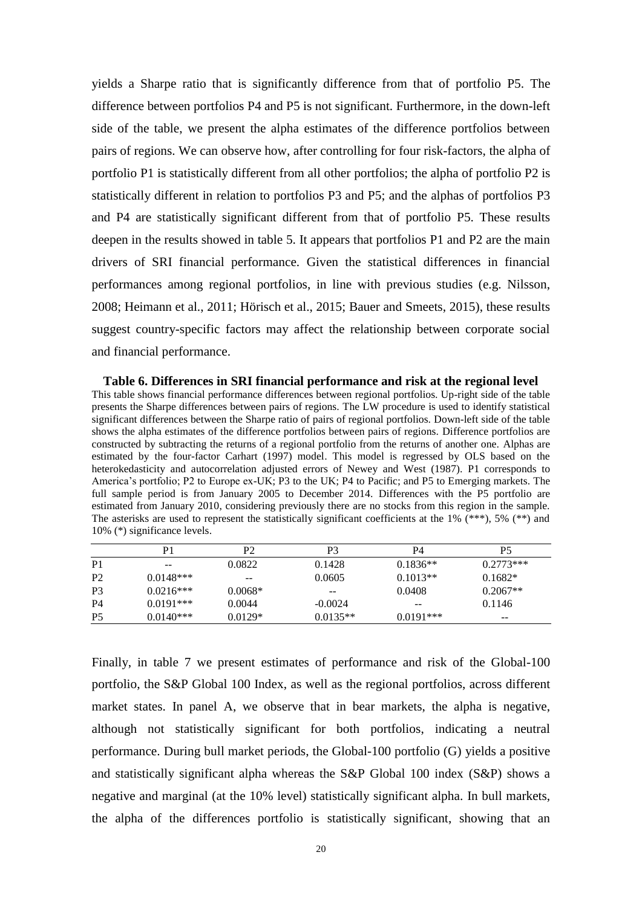yields a Sharpe ratio that is significantly difference from that of portfolio P5. The difference between portfolios P4 and P5 is not significant. Furthermore, in the down-left side of the table, we present the alpha estimates of the difference portfolios between pairs of regions. We can observe how, after controlling for four risk-factors, the alpha of portfolio P1 is statistically different from all other portfolios; the alpha of portfolio P2 is statistically different in relation to portfolios P3 and P5; and the alphas of portfolios P3 and P4 are statistically significant different from that of portfolio P5. These results deepen in the results showed in table 5. It appears that portfolios P1 and P2 are the main drivers of SRI financial performance. Given the statistical differences in financial performances among regional portfolios, in line with previous studies (e.g. Nilsson, 2008; Heimann et al., 2011; Hörisch et al., 2015; Bauer and Smeets, 2015), these results suggest country-specific factors may affect the relationship between corporate social and financial performance.

**Table 6. Differences in SRI financial performance and risk at the regional level** This table shows financial performance differences between regional portfolios. Up-right side of the table presents the Sharpe differences between pairs of regions. The LW procedure is used to identify statistical significant differences between the Sharpe ratio of pairs of regional portfolios. Down-left side of the table shows the alpha estimates of the difference portfolios between pairs of regions. Difference portfolios are constructed by subtracting the returns of a regional portfolio from the returns of another one. Alphas are estimated by the four-factor Carhart (1997) model. This model is regressed by OLS based on the heterokedasticity and autocorrelation adjusted errors of Newey and West (1987). P1 corresponds to America's portfolio; P2 to Europe ex-UK; P3 to the UK; P4 to Pacific; and P5 to Emerging markets. The full sample period is from January 2005 to December 2014. Differences with the P5 portfolio are estimated from January 2010, considering previously there are no stocks from this region in the sample. The asterisks are used to represent the statistically significant coefficients at the 1%  $(**)$ , 5%  $(**)$  and 10% (\*) significance levels.

| P1          | P2        | P3         | P4          | P5          |
|-------------|-----------|------------|-------------|-------------|
| $- -$       | 0.0822    | 0.1428     | $0.1836**$  | $0.2773***$ |
| $0.0148***$ | $- -$     | 0.0605     | $0.1013**$  | $0.1682*$   |
| $0.0216***$ | $0.0068*$ | $- -$      | 0.0408      | $0.2067**$  |
| $0.0191***$ | 0.0044    | $-0.0024$  | $- -$       | 0.1146      |
| $0.0140***$ | $0.0129*$ | $0.0135**$ | $0.0191***$ | $- -$       |
|             |           |            |             |             |

Finally, in table 7 we present estimates of performance and risk of the Global-100 portfolio, the S&P Global 100 Index, as well as the regional portfolios, across different market states. In panel A, we observe that in bear markets, the alpha is negative, although not statistically significant for both portfolios, indicating a neutral performance. During bull market periods, the Global-100 portfolio (G) yields a positive and statistically significant alpha whereas the S&P Global 100 index (S&P) shows a negative and marginal (at the 10% level) statistically significant alpha. In bull markets, the alpha of the differences portfolio is statistically significant, showing that an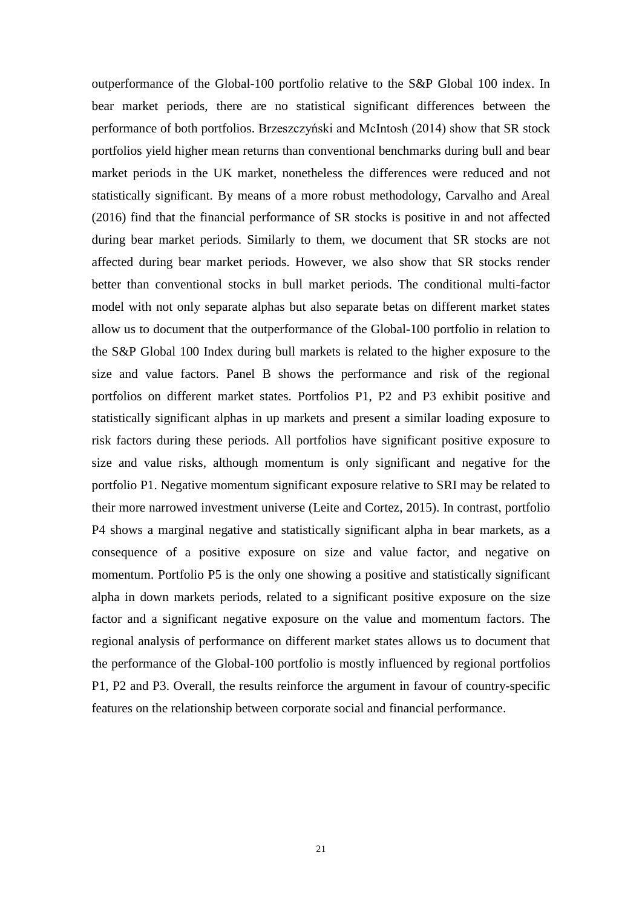outperformance of the Global-100 portfolio relative to the S&P Global 100 index. In bear market periods, there are no statistical significant differences between the performance of both portfolios. Brzeszczyński and McIntosh (2014) show that SR stock portfolios yield higher mean returns than conventional benchmarks during bull and bear market periods in the UK market, nonetheless the differences were reduced and not statistically significant. By means of a more robust methodology, Carvalho and Areal (2016) find that the financial performance of SR stocks is positive in and not affected during bear market periods. Similarly to them, we document that SR stocks are not affected during bear market periods. However, we also show that SR stocks render better than conventional stocks in bull market periods. The conditional multi-factor model with not only separate alphas but also separate betas on different market states allow us to document that the outperformance of the Global-100 portfolio in relation to the S&P Global 100 Index during bull markets is related to the higher exposure to the size and value factors. Panel B shows the performance and risk of the regional portfolios on different market states. Portfolios P1, P2 and P3 exhibit positive and statistically significant alphas in up markets and present a similar loading exposure to risk factors during these periods. All portfolios have significant positive exposure to size and value risks, although momentum is only significant and negative for the portfolio P1. Negative momentum significant exposure relative to SRI may be related to their more narrowed investment universe (Leite and Cortez, 2015). In contrast, portfolio P4 shows a marginal negative and statistically significant alpha in bear markets, as a consequence of a positive exposure on size and value factor, and negative on momentum. Portfolio P5 is the only one showing a positive and statistically significant alpha in down markets periods, related to a significant positive exposure on the size factor and a significant negative exposure on the value and momentum factors. The regional analysis of performance on different market states allows us to document that the performance of the Global-100 portfolio is mostly influenced by regional portfolios P1, P2 and P3. Overall, the results reinforce the argument in favour of country-specific features on the relationship between corporate social and financial performance.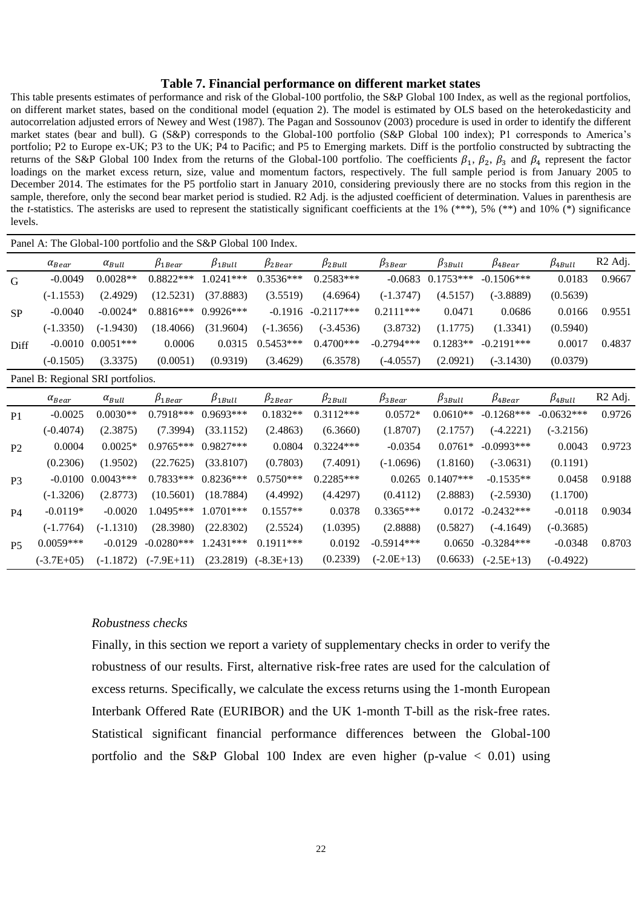#### **Table 7. Financial performance on different market states**

This table presents estimates of performance and risk of the Global-100 portfolio, the S&P Global 100 Index, as well as the regional portfolios, on different market states, based on the conditional model (equation 2). The model is estimated by OLS based on the heterokedasticity and autocorrelation adjusted errors of Newey and West (1987). The Pagan and Sossounov (2003) procedure is used in order to identify the different market states (bear and bull). G (S&P) corresponds to the Global-100 portfolio (S&P Global 100 index); P1 corresponds to America's portfolio; P2 to Europe ex-UK; P3 to the UK; P4 to Pacific; and P5 to Emerging markets. Diff is the portfolio constructed by subtracting the returns of the S&P Global 100 Index from the returns of the Global-100 portfolio. The coefficients  $\beta_1$ ,  $\beta_2$ ,  $\beta_3$  and  $\beta_4$  represent the factor loadings on the market excess return, size, value and momentum factors, respectively. The full sample period is from January 2005 to December 2014. The estimates for the P5 portfolio start in January 2010, considering previously there are no stocks from this region in the sample, therefore, only the second bear market period is studied. R2 Adj. is the adjusted coefficient of determination. Values in parenthesis are the *t*-statistics. The asterisks are used to represent the statistically significant coefficients at the 1%  $(**)$ , 5%  $(**)$  and 10%  $(*)$  significance levels.

|                                   | Panel A: The Global-100 portfolio and the S&P Global 100 Index. |                 |                  |                 |                          |                 |                 |                 |                  |                 |                     |
|-----------------------------------|-----------------------------------------------------------------|-----------------|------------------|-----------------|--------------------------|-----------------|-----------------|-----------------|------------------|-----------------|---------------------|
|                                   | $\alpha_{\textit{Bear}}$                                        | $\alpha_{Bull}$ | $\beta_{1 Bear}$ | $\beta_{1Bull}$ | $\beta_{2\textit{Bean}}$ | $\beta_{2Bull}$ | $\beta_{3Bean}$ | $\beta_{3Bull}$ | $\beta_{4 Bear}$ | $\beta_{4Bull}$ | R <sub>2</sub> Adj. |
| G                                 | $-0.0049$                                                       | $0.0028**$      | $0.8822***$      | 1.0241***       | $0.3536***$              | 0.2583***       | $-0.0683$       | $0.1753***$     | $-0.1506***$     | 0.0183          | 0.9667              |
|                                   | $(-1.1553)$                                                     | (2.4929)        | (12.5231)        | (37.8883)       | (3.5519)                 | (4.6964)        | $(-1.3747)$     | (4.5157)        | $(-3.8889)$      | (0.5639)        |                     |
| <b>SP</b>                         | $-0.0040$                                                       | $-0.0024*$      | $0.8816***$      | 0.9926***       | $-0.1916$                | $-0.2117***$    | $0.2111***$     | 0.0471          | 0.0686           | 0.0166          | 0.9551              |
|                                   | $(-1.3350)$                                                     | $(-1.9430)$     | (18.4066)        | (31.9604)       | $(-1.3656)$              | $(-3.4536)$     | (3.8732)        | (1.1775)        | (1.3341)         | (0.5940)        |                     |
| Diff                              | $-0.0010$                                                       | $0.0051***$     | 0.0006           | 0.0315          | $0.5453***$              | $0.4700***$     | $-0.2794***$    | $0.1283**$      | $-0.2191***$     | 0.0017          | 0.4837              |
|                                   | $(-0.1505)$                                                     | (3.3375)        | (0.0051)         | (0.9319)        | (3.4629)                 | (6.3578)        | $(-4.0557)$     | (2.0921)        | $(-3.1430)$      | (0.0379)        |                     |
| Panel B: Regional SRI portfolios. |                                                                 |                 |                  |                 |                          |                 |                 |                 |                  |                 |                     |
|                                   | $\alpha_{\text{Bear}}$                                          | $\alpha_{Bull}$ | $\beta_{1 Bear}$ | $\beta_{1Bull}$ | $\beta_{2Bean}$          | $\beta_{2Bull}$ | $\beta_{3Bean}$ | $\beta_{3Bull}$ | $\beta_{4 Bear}$ | $\beta_{4Bull}$ | R <sub>2</sub> Adj. |
| P <sub>1</sub>                    | $-0.0025$                                                       | $0.0030**$      | $0.7918***$      | 0.9693***       | $0.1832**$               | $0.3112***$     | $0.0572*$       | $0.0610**$      | $-0.1268***$     | $-0.0632***$    | 0.9726              |
|                                   | $(-0.4074)$                                                     | (2.3875)        | (7.3994)         | (33.1152)       | (2.4863)                 | (6.3660)        | (1.8707)        | (2.1757)        | $(-4.2221)$      | $(-3.2156)$     |                     |
| P <sub>2</sub>                    | 0.0004                                                          | $0.0025*$       | $0.9765***$      | 0.9827***       | 0.0804                   | $0.3224***$     | $-0.0354$       | $0.0761*$       | $-0.0993***$     | 0.0043          | 0.9723              |
|                                   | (0.2306)                                                        | (1.9502)        | (22.7625)        | (33.8107)       | (0.7803)                 | (7.4091)        | $(-1.0696)$     | (1.8160)        | $(-3.0631)$      | (0.1191)        |                     |
| P3                                | $-0.0100$                                                       | $0.0043***$     | $0.7833***$      | $0.8236***$     | $0.5750***$              | $0.2285***$     | 0.0265          | $0.1407***$     | $-0.1535**$      | 0.0458          | 0.9188              |
|                                   | $(-1.3206)$                                                     | (2.8773)        | (10.5601)        | (18.7884)       | (4.4992)                 | (4.4297)        | (0.4112)        | (2.8883)        | $(-2.5930)$      | (1.1700)        |                     |
| P <sub>4</sub>                    | $-0.0119*$                                                      | $-0.0020$       | 1.0495***        | 1.0701***       | $0.1557**$               | 0.0378          | $0.3365***$     | 0.0172          | $-0.2432***$     | $-0.0118$       | 0.9034              |
|                                   | $(-1.7764)$                                                     | $(-1.1310)$     | (28.3980)        | (22.8302)       | (2.5524)                 | (1.0395)        | (2.8888)        | (0.5827)        | $(-4.1649)$      | $(-0.3685)$     |                     |
| <b>P5</b>                         | $0.0059***$                                                     | $-0.0129$       | $-0.0280***$     | 1.2431***       | $0.1911***$              | 0.0192          | $-0.5914***$    | 0.0650          | $-0.3284***$     | $-0.0348$       | 0.8703              |
|                                   | $(-3.7E+05)$                                                    | $(-1.1872)$     | $(-7.9E+11)$     | (23.2819)       | $(-8.3E+13)$             | (0.2339)        | $(-2.0E+13)$    | (0.6633)        | $(-2.5E+13)$     | $(-0.4922)$     |                     |

#### *Robustness checks*

Finally, in this section we report a variety of supplementary checks in order to verify the robustness of our results. First, alternative risk-free rates are used for the calculation of excess returns. Specifically, we calculate the excess returns using the 1-month European Interbank Offered Rate (EURIBOR) and the UK 1-month T-bill as the risk-free rates. Statistical significant financial performance differences between the Global-100 portfolio and the S&P Global 100 Index are even higher (p-value  $\lt$  0.01) using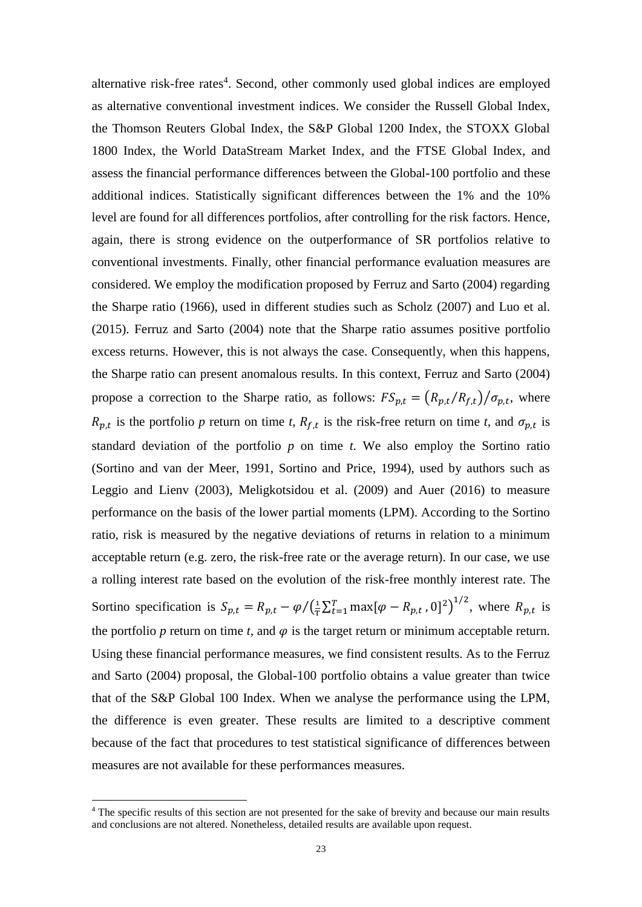alternative risk-free rates<sup>4</sup>. Second, other commonly used global indices are employed as alternative conventional investment indices. We consider the Russell Global Index, the Thomson Reuters Global Index, the S&P Global 1200 Index, the STOXX Global 1800 Index, the World DataStream Market Index, and the FTSE Global Index, and assess the financial performance differences between the Global-100 portfolio and these additional indices. Statistically significant differences between the 1% and the 10% level are found for all differences portfolios, after controlling for the risk factors. Hence, again, there is strong evidence on the outperformance of SR portfolios relative to conventional investments. Finally, other financial performance evaluation measures are considered. We employ the modification proposed by Ferruz and Sarto (2004) regarding the Sharpe ratio (1966), used in different studies such as Scholz (2007) and Luo et al. (2015). Ferruz and Sarto (2004) note that the Sharpe ratio assumes positive portfolio excess returns. However, this is not always the case. Consequently, when this happens, the Sharpe ratio can present anomalous results. In this context, Ferruz and Sarto (2004) propose a correction to the Sharpe ratio, as follows:  $FS_{p,t} = (R_{p,t}/R_{f,t})/\sigma_{p,t}$ , where  $R_{p,t}$  is the portfolio p return on time t,  $R_{f,t}$  is the risk-free return on time t, and  $\sigma_{p,t}$  is standard deviation of the portfolio  $p$  on time  $t$ . We also employ the Sortino ratio (Sortino and van der Meer, 1991, Sortino and Price, 1994), used by authors such as Leggio and Lienv (2003), Meligkotsidou et al. (2009) and Auer (2016) to measure performance on the basis of the lower partial moments (LPM). According to the Sortino ratio, risk is measured by the negative deviations of returns in relation to a minimum acceptable return (e.g. zero, the risk-free rate or the average return). In our case, we use a rolling interest rate based on the evolution of the risk-free monthly interest rate. The Sortino specification is  $S_{p,t} = R_{p,t} - \varphi / (\frac{1}{7})$  $/(\frac{1}{T}\sum_{t=1}^{T} \max[\varphi - R_{p,t}, 0]^2)^{1/2}$ , where  $R_{p,t}$  is the portfolio  $p$  return on time  $t$ , and  $\varphi$  is the target return or minimum acceptable return. Using these financial performance measures, we find consistent results. As to the Ferruz and Sarto (2004) proposal, the Global-100 portfolio obtains a value greater than twice that of the S&P Global 100 Index. When we analyse the performance using the LPM, the difference is even greater. These results are limited to a descriptive comment because of the fact that procedures to test statistical significance of differences between measures are not available for these performances measures.

1

<sup>4</sup> The specific results of this section are not presented for the sake of brevity and because our main results and conclusions are not altered. Nonetheless, detailed results are available upon request.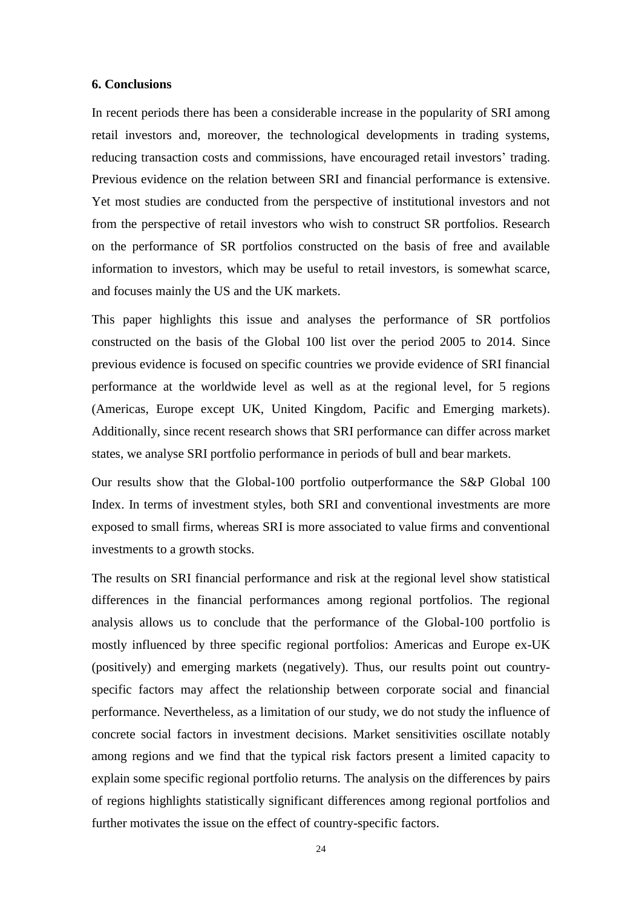## **6. Conclusions**

In recent periods there has been a considerable increase in the popularity of SRI among retail investors and, moreover, the technological developments in trading systems, reducing transaction costs and commissions, have encouraged retail investors' trading. Previous evidence on the relation between SRI and financial performance is extensive. Yet most studies are conducted from the perspective of institutional investors and not from the perspective of retail investors who wish to construct SR portfolios. Research on the performance of SR portfolios constructed on the basis of free and available information to investors, which may be useful to retail investors, is somewhat scarce, and focuses mainly the US and the UK markets.

This paper highlights this issue and analyses the performance of SR portfolios constructed on the basis of the Global 100 list over the period 2005 to 2014. Since previous evidence is focused on specific countries we provide evidence of SRI financial performance at the worldwide level as well as at the regional level, for 5 regions (Americas, Europe except UK, United Kingdom, Pacific and Emerging markets). Additionally, since recent research shows that SRI performance can differ across market states, we analyse SRI portfolio performance in periods of bull and bear markets.

Our results show that the Global-100 portfolio outperformance the S&P Global 100 Index. In terms of investment styles, both SRI and conventional investments are more exposed to small firms, whereas SRI is more associated to value firms and conventional investments to a growth stocks.

The results on SRI financial performance and risk at the regional level show statistical differences in the financial performances among regional portfolios. The regional analysis allows us to conclude that the performance of the Global-100 portfolio is mostly influenced by three specific regional portfolios: Americas and Europe ex-UK (positively) and emerging markets (negatively). Thus, our results point out countryspecific factors may affect the relationship between corporate social and financial performance. Nevertheless, as a limitation of our study, we do not study the influence of concrete social factors in investment decisions. Market sensitivities oscillate notably among regions and we find that the typical risk factors present a limited capacity to explain some specific regional portfolio returns. The analysis on the differences by pairs of regions highlights statistically significant differences among regional portfolios and further motivates the issue on the effect of country-specific factors.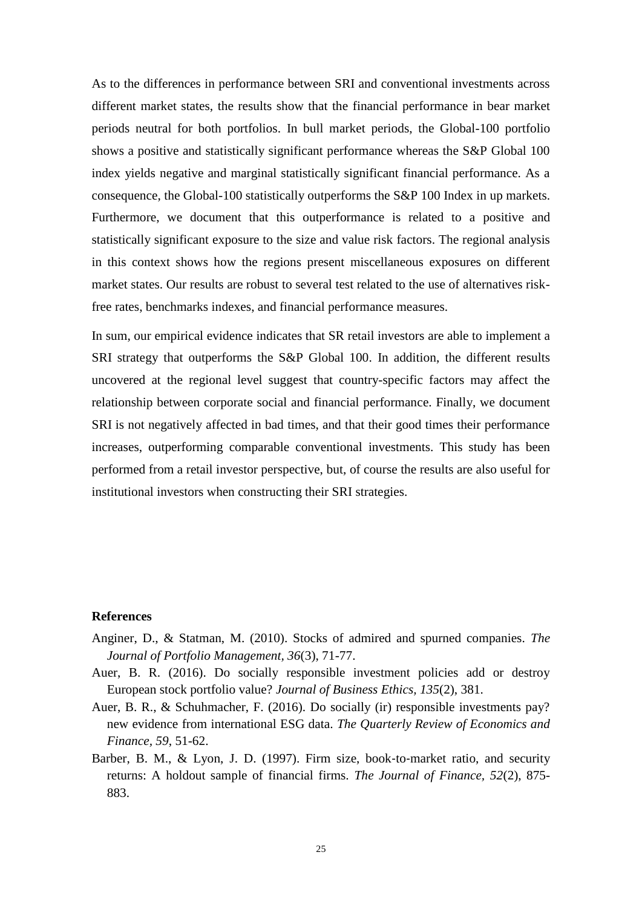As to the differences in performance between SRI and conventional investments across different market states, the results show that the financial performance in bear market periods neutral for both portfolios. In bull market periods, the Global-100 portfolio shows a positive and statistically significant performance whereas the S&P Global 100 index yields negative and marginal statistically significant financial performance. As a consequence, the Global-100 statistically outperforms the S&P 100 Index in up markets. Furthermore, we document that this outperformance is related to a positive and statistically significant exposure to the size and value risk factors. The regional analysis in this context shows how the regions present miscellaneous exposures on different market states. Our results are robust to several test related to the use of alternatives riskfree rates, benchmarks indexes, and financial performance measures.

In sum, our empirical evidence indicates that SR retail investors are able to implement a SRI strategy that outperforms the S&P Global 100. In addition, the different results uncovered at the regional level suggest that country-specific factors may affect the relationship between corporate social and financial performance. Finally, we document SRI is not negatively affected in bad times, and that their good times their performance increases, outperforming comparable conventional investments. This study has been performed from a retail investor perspective, but, of course the results are also useful for institutional investors when constructing their SRI strategies.

## **References**

- Anginer, D., & Statman, M. (2010). Stocks of admired and spurned companies. *The Journal of Portfolio Management, 36*(3), 71-77.
- Auer, B. R. (2016). Do socially responsible investment policies add or destroy European stock portfolio value? *Journal of Business Ethics, 135*(2), 381.
- Auer, B. R., & Schuhmacher, F. (2016). Do socially (ir) responsible investments pay? new evidence from international ESG data. *The Quarterly Review of Economics and Finance, 59*, 51-62.
- Barber, B. M., & Lyon, J. D. (1997). Firm size, book-to-market ratio, and security returns: A holdout sample of financial firms. *The Journal of Finance, 52*(2), 875- 883.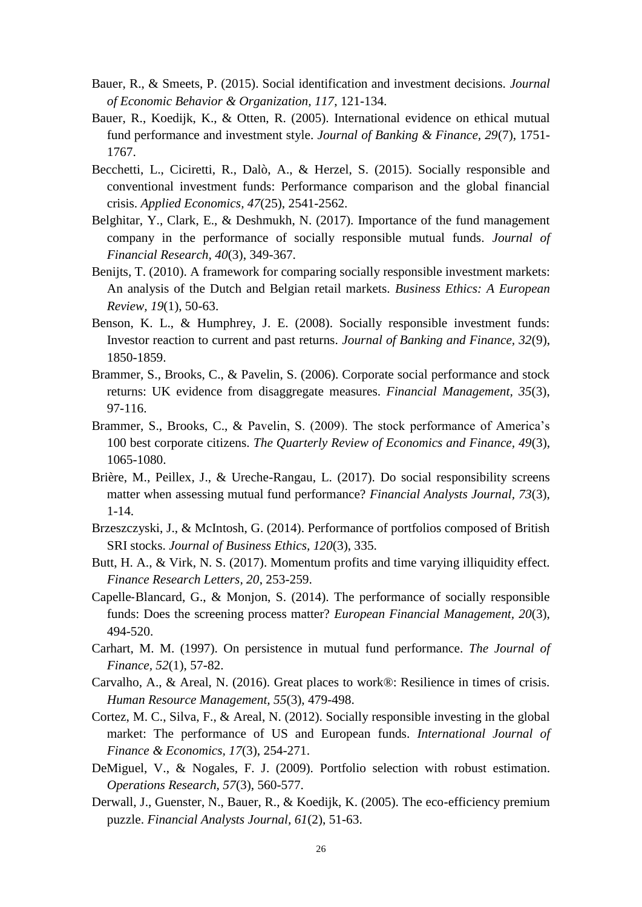- Bauer, R., & Smeets, P. (2015). Social identification and investment decisions. *Journal of Economic Behavior & Organization, 117*, 121-134.
- Bauer, R., Koedijk, K., & Otten, R. (2005). International evidence on ethical mutual fund performance and investment style. *Journal of Banking & Finance, 29*(7), 1751- 1767.
- Becchetti, L., Ciciretti, R., Dalò, A., & Herzel, S. (2015). Socially responsible and conventional investment funds: Performance comparison and the global financial crisis. *Applied Economics, 47*(25), 2541-2562.
- Belghitar, Y., Clark, E., & Deshmukh, N. (2017). Importance of the fund management company in the performance of socially responsible mutual funds. *Journal of Financial Research, 40*(3), 349-367.
- Benijts, T. (2010). A framework for comparing socially responsible investment markets: An analysis of the Dutch and Belgian retail markets. *Business Ethics: A European Review, 19*(1), 50-63.
- Benson, K. L., & Humphrey, J. E. (2008). Socially responsible investment funds: Investor reaction to current and past returns. *Journal of Banking and Finance, 32*(9), 1850-1859.
- Brammer, S., Brooks, C., & Pavelin, S. (2006). Corporate social performance and stock returns: UK evidence from disaggregate measures. *Financial Management, 35*(3), 97-116.
- Brammer, S., Brooks, C., & Pavelin, S. (2009). The stock performance of America's 100 best corporate citizens. *The Quarterly Review of Economics and Finance, 49*(3), 1065-1080.
- Brière, M., Peillex, J., & Ureche-Rangau, L. (2017). Do social responsibility screens matter when assessing mutual fund performance? *Financial Analysts Journal, 73*(3), 1-14.
- Brzeszczyski, J., & McIntosh, G. (2014). Performance of portfolios composed of British SRI stocks. *Journal of Business Ethics, 120*(3), 335.
- Butt, H. A., & Virk, N. S. (2017). Momentum profits and time varying illiquidity effect. *Finance Research Letters, 20*, 253-259.
- Capelle‐Blancard, G., & Monjon, S. (2014). The performance of socially responsible funds: Does the screening process matter? *European Financial Management, 20*(3), 494-520.
- Carhart, M. M. (1997). On persistence in mutual fund performance. *The Journal of Finance, 52*(1), 57-82.
- Carvalho, A., & Areal, N. (2016). Great places to work®: Resilience in times of crisis. *Human Resource Management, 55*(3), 479-498.
- Cortez, M. C., Silva, F., & Areal, N. (2012). Socially responsible investing in the global market: The performance of US and European funds. *International Journal of Finance & Economics, 17*(3), 254-271.
- DeMiguel, V., & Nogales, F. J. (2009). Portfolio selection with robust estimation. *Operations Research, 57*(3), 560-577.
- Derwall, J., Guenster, N., Bauer, R., & Koedijk, K. (2005). The eco-efficiency premium puzzle. *Financial Analysts Journal, 61*(2), 51-63.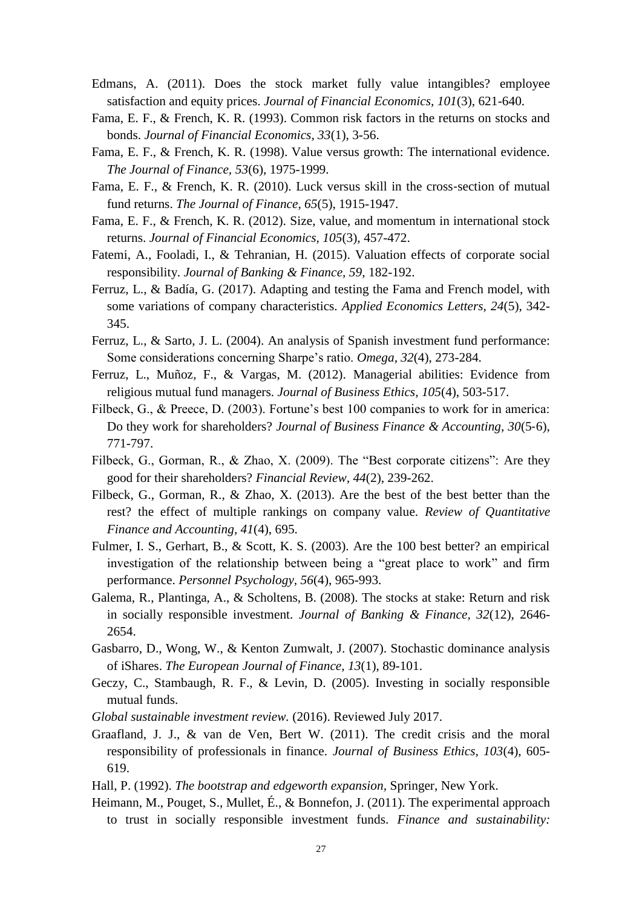- Edmans, A. (2011). Does the stock market fully value intangibles? employee satisfaction and equity prices. *Journal of Financial Economics, 101*(3), 621-640.
- Fama, E. F., & French, K. R. (1993). Common risk factors in the returns on stocks and bonds. *Journal of Financial Economics, 33*(1), 3-56.
- Fama, E. F., & French, K. R. (1998). Value versus growth: The international evidence. *The Journal of Finance, 53*(6), 1975-1999.
- Fama, E. F., & French, K. R. (2010). Luck versus skill in the cross-section of mutual fund returns. *The Journal of Finance, 65*(5), 1915-1947.
- Fama, E. F., & French, K. R. (2012). Size, value, and momentum in international stock returns. *Journal of Financial Economics, 105*(3), 457-472.
- Fatemi, A., Fooladi, I., & Tehranian, H. (2015). Valuation effects of corporate social responsibility. *Journal of Banking & Finance, 59*, 182-192.
- Ferruz, L., & Badía, G. (2017). Adapting and testing the Fama and French model, with some variations of company characteristics. *Applied Economics Letters, 24*(5), 342- 345.
- Ferruz, L., & Sarto, J. L. (2004). An analysis of Spanish investment fund performance: Some considerations concerning Sharpe's ratio. *Omega, 32*(4), 273-284.
- Ferruz, L., Muñoz, F., & Vargas, M. (2012). Managerial abilities: Evidence from religious mutual fund managers. *Journal of Business Ethics, 105*(4), 503-517.
- Filbeck, G., & Preece, D. (2003). Fortune's best 100 companies to work for in america: Do they work for shareholders? *Journal of Business Finance & Accounting, 30*(5‐6), 771-797.
- Filbeck, G., Gorman, R., & Zhao, X. (2009). The "Best corporate citizens": Are they good for their shareholders? *Financial Review, 44*(2), 239-262.
- Filbeck, G., Gorman, R., & Zhao, X. (2013). Are the best of the best better than the rest? the effect of multiple rankings on company value. *Review of Quantitative Finance and Accounting, 41*(4), 695.
- Fulmer, I. S., Gerhart, B., & Scott, K. S. (2003). Are the 100 best better? an empirical investigation of the relationship between being a "great place to work" and firm performance. *Personnel Psychology, 56*(4), 965-993.
- Galema, R., Plantinga, A., & Scholtens, B. (2008). The stocks at stake: Return and risk in socially responsible investment. *Journal of Banking & Finance, 32*(12), 2646- 2654.
- Gasbarro, D., Wong, W., & Kenton Zumwalt, J. (2007). Stochastic dominance analysis of iShares. *The European Journal of Finance, 13*(1), 89-101.
- Geczy, C., Stambaugh, R. F., & Levin, D. (2005). Investing in socially responsible mutual funds.
- *Global sustainable investment review.* (2016). Reviewed July 2017.
- Graafland, J. J., & van de Ven, Bert W. (2011). The credit crisis and the moral responsibility of professionals in finance. *Journal of Business Ethics, 103*(4), 605- 619.

Hall, P. (1992). *The bootstrap and edgeworth expansion,* Springer, New York.

Heimann, M., Pouget, S., Mullet, É., & Bonnefon, J. (2011). The experimental approach to trust in socially responsible investment funds. *Finance and sustainability:*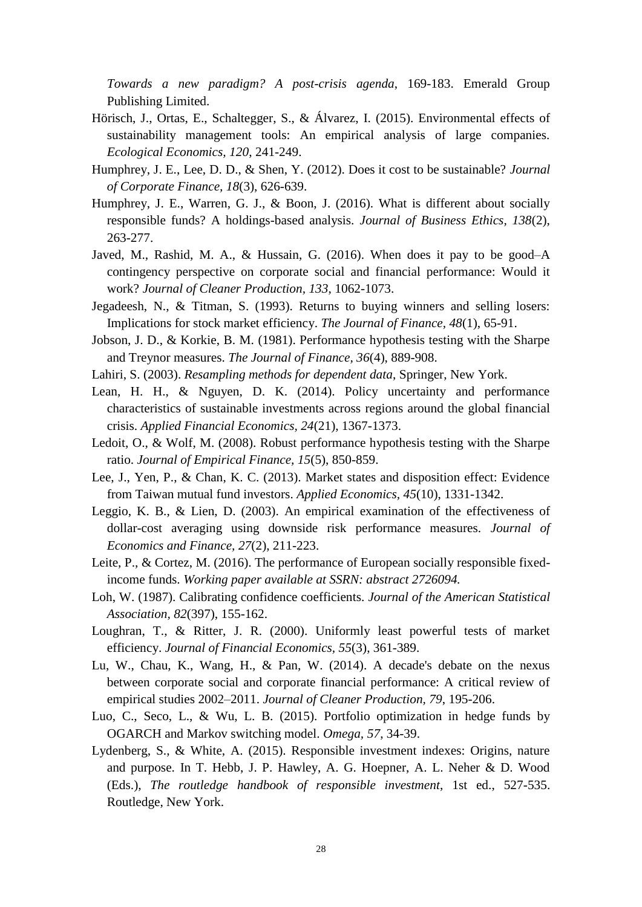*Towards a new paradigm? A post-crisis agenda*, 169-183. Emerald Group Publishing Limited.

- Hörisch, J., Ortas, E., Schaltegger, S., & Álvarez, I. (2015). Environmental effects of sustainability management tools: An empirical analysis of large companies. *Ecological Economics, 120*, 241-249.
- Humphrey, J. E., Lee, D. D., & Shen, Y. (2012). Does it cost to be sustainable? *Journal of Corporate Finance, 18*(3), 626-639.
- Humphrey, J. E., Warren, G. J., & Boon, J. (2016). What is different about socially responsible funds? A holdings-based analysis. *Journal of Business Ethics, 138*(2), 263-277.
- Javed, M., Rashid, M. A., & Hussain, G. (2016). When does it pay to be good–A contingency perspective on corporate social and financial performance: Would it work? *Journal of Cleaner Production, 133*, 1062-1073.
- Jegadeesh, N., & Titman, S. (1993). Returns to buying winners and selling losers: Implications for stock market efficiency. *The Journal of Finance, 48*(1), 65-91.
- Jobson, J. D., & Korkie, B. M. (1981). Performance hypothesis testing with the Sharpe and Treynor measures. *The Journal of Finance, 36*(4), 889-908.
- Lahiri, S. (2003). *Resampling methods for dependent data*, Springer, New York.
- Lean, H. H., & Nguyen, D. K. (2014). Policy uncertainty and performance characteristics of sustainable investments across regions around the global financial crisis. *Applied Financial Economics, 24*(21), 1367-1373.
- Ledoit, O., & Wolf, M. (2008). Robust performance hypothesis testing with the Sharpe ratio. *Journal of Empirical Finance, 15*(5), 850-859.
- Lee, J., Yen, P., & Chan, K. C. (2013). Market states and disposition effect: Evidence from Taiwan mutual fund investors. *Applied Economics, 45*(10), 1331-1342.
- Leggio, K. B., & Lien, D. (2003). An empirical examination of the effectiveness of dollar-cost averaging using downside risk performance measures. *Journal of Economics and Finance, 27*(2), 211-223.
- Leite, P., & Cortez, M. (2016). The performance of European socially responsible fixedincome funds. *Working paper available at SSRN: abstract 2726094.*
- Loh, W. (1987). Calibrating confidence coefficients. *Journal of the American Statistical Association, 82*(397), 155-162.
- Loughran, T., & Ritter, J. R. (2000). Uniformly least powerful tests of market efficiency. *Journal of Financial Economics, 55*(3), 361-389.
- Lu, W., Chau, K., Wang, H., & Pan, W. (2014). A decade's debate on the nexus between corporate social and corporate financial performance: A critical review of empirical studies 2002–2011. *Journal of Cleaner Production, 79*, 195-206.
- Luo, C., Seco, L., & Wu, L. B. (2015). Portfolio optimization in hedge funds by OGARCH and Markov switching model. *Omega, 57*, 34-39.
- Lydenberg, S., & White, A. (2015). Responsible investment indexes: Origins, nature and purpose. In T. Hebb, J. P. Hawley, A. G. Hoepner, A. L. Neher & D. Wood (Eds.), *The routledge handbook of responsible investment*, 1st ed., 527-535. Routledge, New York.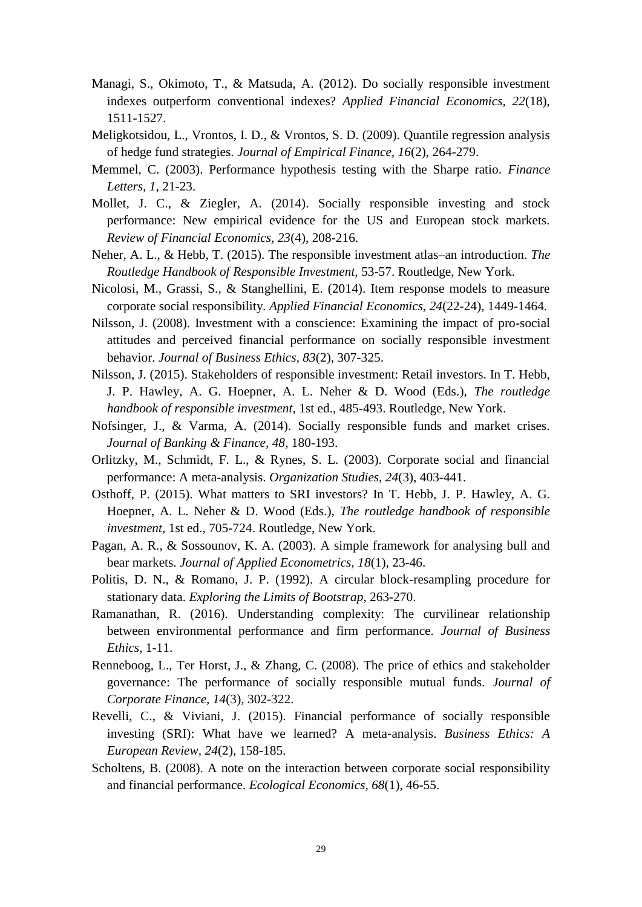- Managi, S., Okimoto, T., & Matsuda, A. (2012). Do socially responsible investment indexes outperform conventional indexes? *Applied Financial Economics, 22*(18), 1511-1527.
- Meligkotsidou, L., Vrontos, I. D., & Vrontos, S. D. (2009). Quantile regression analysis of hedge fund strategies. *Journal of Empirical Finance, 16*(2), 264-279.
- Memmel, C. (2003). Performance hypothesis testing with the Sharpe ratio. *Finance Letters, 1*, 21-23.
- Mollet, J. C., & Ziegler, A. (2014). Socially responsible investing and stock performance: New empirical evidence for the US and European stock markets. *Review of Financial Economics, 23*(4), 208-216.
- Neher, A. L., & Hebb, T. (2015). The responsible investment atlas–an introduction. *The Routledge Handbook of Responsible Investment,* 53-57. Routledge, New York.
- Nicolosi, M., Grassi, S., & Stanghellini, E. (2014). Item response models to measure corporate social responsibility. *Applied Financial Economics, 24*(22-24), 1449-1464.
- Nilsson, J. (2008). Investment with a conscience: Examining the impact of pro-social attitudes and perceived financial performance on socially responsible investment behavior. *Journal of Business Ethics, 83*(2), 307-325.
- Nilsson, J. (2015). Stakeholders of responsible investment: Retail investors. In T. Hebb, J. P. Hawley, A. G. Hoepner, A. L. Neher & D. Wood (Eds.), *The routledge handbook of responsible investment*, 1st ed., 485-493. Routledge, New York.
- Nofsinger, J., & Varma, A. (2014). Socially responsible funds and market crises. *Journal of Banking & Finance, 48*, 180-193.
- Orlitzky, M., Schmidt, F. L., & Rynes, S. L. (2003). Corporate social and financial performance: A meta-analysis. *Organization Studies, 24*(3), 403-441.
- Osthoff, P. (2015). What matters to SRI investors? In T. Hebb, J. P. Hawley, A. G. Hoepner, A. L. Neher & D. Wood (Eds.), *The routledge handbook of responsible investment*, 1st ed., 705-724. Routledge, New York.
- Pagan, A. R., & Sossounov, K. A. (2003). A simple framework for analysing bull and bear markets. *Journal of Applied Econometrics, 18*(1), 23-46.
- Politis, D. N., & Romano, J. P. (1992). A circular block-resampling procedure for stationary data. *Exploring the Limits of Bootstrap*, 263-270.
- Ramanathan, R. (2016). Understanding complexity: The curvilinear relationship between environmental performance and firm performance. *Journal of Business Ethics*, 1-11.
- Renneboog, L., Ter Horst, J., & Zhang, C. (2008). The price of ethics and stakeholder governance: The performance of socially responsible mutual funds. *Journal of Corporate Finance, 14*(3), 302-322.
- Revelli, C., & Viviani, J. (2015). Financial performance of socially responsible investing (SRI): What have we learned? A meta‐analysis. *Business Ethics: A European Review, 24*(2), 158-185.
- Scholtens, B. (2008). A note on the interaction between corporate social responsibility and financial performance. *Ecological Economics, 68*(1), 46-55.